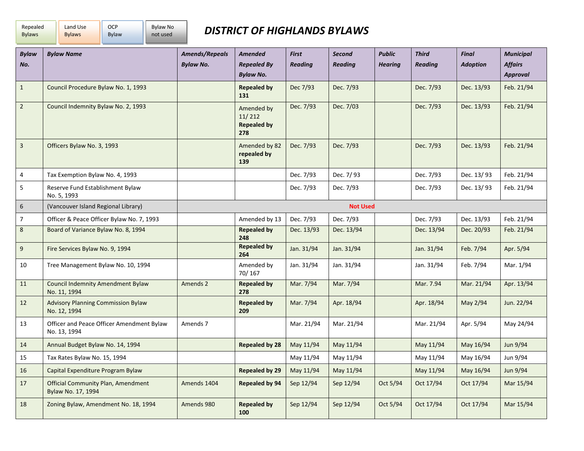| Repealed      | Land Use      | <b>OCP</b> | <b>Bylaw No</b> |
|---------------|---------------|------------|-----------------|
| <b>Bylaws</b> | <b>Bylaws</b> | Bylaw      | not used        |

## *DISTRICT OF HIGHLANDS BYLAWS*

| <b>Bylaw</b><br>No. | <b>Bylaw Name</b>                                               | <b>Amends/Repeals</b><br><b>Bylaw No.</b> | <b>Amended</b><br><b>Repealed By</b><br><b>Bylaw No.</b> | <b>First</b><br><b>Reading</b> | <b>Second</b><br><b>Reading</b> | <b>Public</b><br><b>Hearing</b> | <b>Third</b><br><b>Reading</b> | <b>Final</b><br><b>Adoption</b> | <b>Municipal</b><br><b>Affairs</b><br><b>Approval</b> |
|---------------------|-----------------------------------------------------------------|-------------------------------------------|----------------------------------------------------------|--------------------------------|---------------------------------|---------------------------------|--------------------------------|---------------------------------|-------------------------------------------------------|
| $\mathbf{1}$        | Council Procedure Bylaw No. 1, 1993                             |                                           | <b>Repealed by</b><br>131                                | Dec 7/93                       | Dec. 7/93                       |                                 | Dec. 7/93                      | Dec. 13/93                      | Feb. 21/94                                            |
| $\overline{2}$      | Council Indemnity Bylaw No. 2, 1993                             |                                           | Amended by<br>11/212<br><b>Repealed by</b><br>278        | Dec. 7/93                      | Dec. 7/03                       |                                 | Dec. 7/93                      | Dec. 13/93                      | Feb. 21/94                                            |
| $\overline{3}$      | Officers Bylaw No. 3, 1993                                      |                                           | Amended by 82<br>repealed by<br>139                      | Dec. 7/93                      | Dec. 7/93                       |                                 | Dec. 7/93                      | Dec. 13/93                      | Feb. 21/94                                            |
| 4                   | Tax Exemption Bylaw No. 4, 1993                                 |                                           |                                                          | Dec. 7/93                      | Dec. 7/93                       |                                 | Dec. 7/93                      | Dec. 13/93                      | Feb. 21/94                                            |
| 5                   | Reserve Fund Establishment Bylaw<br>No. 5, 1993                 |                                           |                                                          | Dec. 7/93                      | Dec. 7/93                       |                                 | Dec. 7/93                      | Dec. 13/93                      | Feb. 21/94                                            |
| 6                   | (Vancouver Island Regional Library)                             |                                           |                                                          |                                | <b>Not Used</b>                 |                                 |                                |                                 |                                                       |
| $\overline{7}$      | Officer & Peace Officer Bylaw No. 7, 1993                       |                                           | Amended by 13                                            | Dec. 7/93                      | Dec. 7/93                       |                                 | Dec. 7/93                      | Dec. 13/93                      | Feb. 21/94                                            |
| 8                   | Board of Variance Bylaw No. 8, 1994                             |                                           | <b>Repealed by</b><br>248                                | Dec. 13/93                     | Dec. 13/94                      |                                 | Dec. 13/94                     | Dec. 20/93                      | Feb. 21/94                                            |
| 9                   | Fire Services Bylaw No. 9, 1994                                 |                                           | <b>Repealed by</b><br>264                                | Jan. 31/94                     | Jan. 31/94                      |                                 | Jan. 31/94                     | Feb. 7/94                       | Apr. 5/94                                             |
| 10                  | Tree Management Bylaw No. 10, 1994                              |                                           | Amended by<br>70/167                                     | Jan. 31/94                     | Jan. 31/94                      |                                 | Jan. 31/94                     | Feb. 7/94                       | Mar. 1/94                                             |
| 11                  | <b>Council Indemnity Amendment Bylaw</b><br>No. 11, 1994        | Amends 2                                  | <b>Repealed by</b><br>278                                | Mar. 7/94                      | Mar. 7/94                       |                                 | Mar. 7.94                      | Mar. 21/94                      | Apr. 13/94                                            |
| 12                  | <b>Advisory Planning Commission Bylaw</b><br>No. 12, 1994       |                                           | <b>Repealed by</b><br>209                                | Mar. 7/94                      | Apr. 18/94                      |                                 | Apr. 18/94                     | May 2/94                        | Jun. 22/94                                            |
| 13                  | Officer and Peace Officer Amendment Bylaw<br>No. 13, 1994       | Amends 7                                  |                                                          | Mar. 21/94                     | Mar. 21/94                      |                                 | Mar. 21/94                     | Apr. 5/94                       | May 24/94                                             |
| 14                  | Annual Budget Bylaw No. 14, 1994                                |                                           | <b>Repealed by 28</b>                                    | May 11/94                      | May 11/94                       |                                 | May 11/94                      | May 16/94                       | Jun 9/94                                              |
| 15                  | Tax Rates Bylaw No. 15, 1994                                    |                                           |                                                          | May 11/94                      | May 11/94                       |                                 | May 11/94                      | May 16/94                       | Jun 9/94                                              |
| 16                  | Capital Expenditure Program Bylaw                               |                                           | Repealed by 29                                           | May 11/94                      | May 11/94                       |                                 | May 11/94                      | May 16/94                       | Jun 9/94                                              |
| 17                  | <b>Official Community Plan, Amendment</b><br>Bylaw No. 17, 1994 | Amends 1404                               | Repealed by 94                                           | Sep 12/94                      | Sep 12/94                       | Oct 5/94                        | Oct 17/94                      | Oct 17/94                       | Mar 15/94                                             |
| 18                  | Zoning Bylaw, Amendment No. 18, 1994                            | Amends 980                                | <b>Repealed by</b><br>100                                | Sep 12/94                      | Sep 12/94                       | Oct 5/94                        | Oct 17/94                      | Oct 17/94                       | Mar 15/94                                             |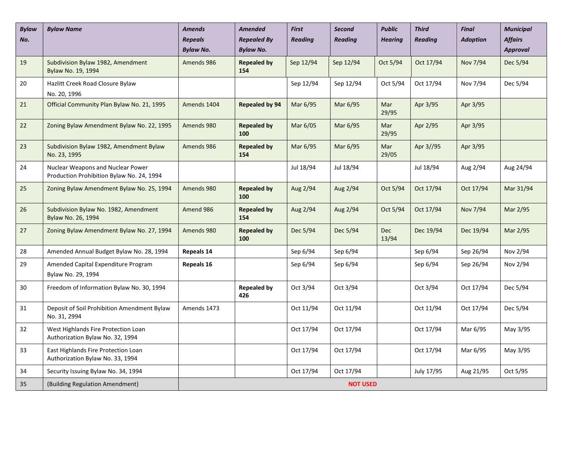| <b>Bylaw</b><br>No. | <b>Bylaw Name</b>                                                              | <b>Amends</b><br><b>Repeals</b><br><b>Bylaw No.</b> | <b>Amended</b><br><b>Repealed By</b><br><b>Bylaw No.</b> | <b>First</b><br><b>Reading</b> | <b>Second</b><br><b>Reading</b> | <b>Public</b><br><b>Hearing</b> | <b>Third</b><br><b>Reading</b> | <b>Final</b><br><b>Adoption</b> | <b>Municipal</b><br><b>Affairs</b><br><b>Approval</b> |  |  |
|---------------------|--------------------------------------------------------------------------------|-----------------------------------------------------|----------------------------------------------------------|--------------------------------|---------------------------------|---------------------------------|--------------------------------|---------------------------------|-------------------------------------------------------|--|--|
| 19                  | Subdivision Bylaw 1982, Amendment<br>Bylaw No. 19, 1994                        | Amends 986                                          | <b>Repealed by</b><br>154                                | Sep 12/94                      | Sep 12/94                       | Oct 5/94                        | Oct 17/94                      | Nov 7/94                        | Dec 5/94                                              |  |  |
| 20                  | Hazlitt Creek Road Closure Bylaw<br>No. 20, 1996                               |                                                     |                                                          | Sep 12/94                      | Sep 12/94                       | Oct 5/94                        | Oct 17/94                      | Nov 7/94                        | Dec 5/94                                              |  |  |
| 21                  | Official Community Plan Bylaw No. 21, 1995                                     | Amends 1404                                         | Repealed by 94                                           | Mar 6/95                       | Mar 6/95                        | Mar<br>29/95                    | Apr 3/95                       | Apr 3/95                        |                                                       |  |  |
| 22                  | Zoning Bylaw Amendment Bylaw No. 22, 1995                                      | Amends 980                                          | <b>Repealed by</b><br>100                                | Mar 6/05                       | Mar 6/95                        | Mar<br>29/95                    | Apr 2/95                       | Apr 3/95                        |                                                       |  |  |
| 23                  | Subdivision Bylaw 1982, Amendment Bylaw<br>No. 23, 1995                        | Amends 986                                          | <b>Repealed by</b><br>154                                | Mar 6/95                       | Mar 6/95                        | Mar<br>29/05                    | Apr 3//95                      | Apr 3/95                        |                                                       |  |  |
| 24                  | Nuclear Weapons and Nuclear Power<br>Production Prohibition Bylaw No. 24, 1994 |                                                     |                                                          | Jul 18/94                      | Jul 18/94                       |                                 | Jul 18/94                      | Aug 2/94                        | Aug 24/94                                             |  |  |
| 25                  | Zoning Bylaw Amendment Bylaw No. 25, 1994                                      | Amends 980                                          | <b>Repealed by</b><br>100                                | Aug 2/94                       | Aug 2/94                        | Oct 5/94                        | Oct 17/94                      | Oct 17/94                       | Mar 31/94                                             |  |  |
| 26                  | Subdivision Bylaw No. 1982, Amendment<br>Bylaw No. 26, 1994                    | Amend 986                                           | <b>Repealed by</b><br>154                                | Aug 2/94                       | Aug 2/94                        | Oct 5/94                        | Oct 17/94                      | Nov 7/94                        | Mar 2/95                                              |  |  |
| 27                  | Zoning Bylaw Amendment Bylaw No. 27, 1994                                      | Amends 980                                          | <b>Repealed by</b><br>100                                | Dec 5/94                       | Dec 5/94                        | <b>Dec</b><br>13/94             | Dec 19/94                      | Dec 19/94                       | Mar 2/95                                              |  |  |
| 28                  | Amended Annual Budget Bylaw No. 28, 1994                                       | Repeals 14                                          |                                                          | Sep 6/94                       | Sep 6/94                        |                                 | Sep 6/94                       | Sep 26/94                       | Nov 2/94                                              |  |  |
| 29                  | Amended Capital Expenditure Program<br>Bylaw No. 29, 1994                      | Repeals 16                                          |                                                          | Sep 6/94                       | Sep 6/94                        |                                 | Sep 6/94                       | Sep 26/94                       | Nov 2/94                                              |  |  |
| 30                  | Freedom of Information Bylaw No. 30, 1994                                      |                                                     | <b>Repealed by</b><br>426                                | Oct 3/94                       | Oct 3/94                        |                                 | Oct 3/94                       | Oct 17/94                       | Dec 5/94                                              |  |  |
| 31                  | Deposit of Soil Prohibition Amendment Bylaw<br>No. 31, 2994                    | Amends 1473                                         |                                                          | Oct 11/94                      | Oct 11/94                       |                                 | Oct 11/94                      | Oct 17/94                       | Dec 5/94                                              |  |  |
| 32                  | West Highlands Fire Protection Loan<br>Authorization Bylaw No. 32, 1994        |                                                     |                                                          | Oct 17/94                      | Oct 17/94                       |                                 | Oct 17/94                      | Mar 6/95                        | May 3/95                                              |  |  |
| 33                  | East Highlands Fire Protection Loan<br>Authorization Bylaw No. 33, 1994        |                                                     |                                                          | Oct 17/94                      | Oct 17/94                       |                                 | Oct 17/94                      | Mar 6/95                        | May 3/95                                              |  |  |
| 34                  | Security Issuing Bylaw No. 34, 1994                                            |                                                     |                                                          | Oct 17/94                      | Oct 17/94                       |                                 | July 17/95                     | Aug 21/95                       | Oct 5/95                                              |  |  |
| 35                  | (Building Regulation Amendment)                                                |                                                     | <b>NOT USED</b>                                          |                                |                                 |                                 |                                |                                 |                                                       |  |  |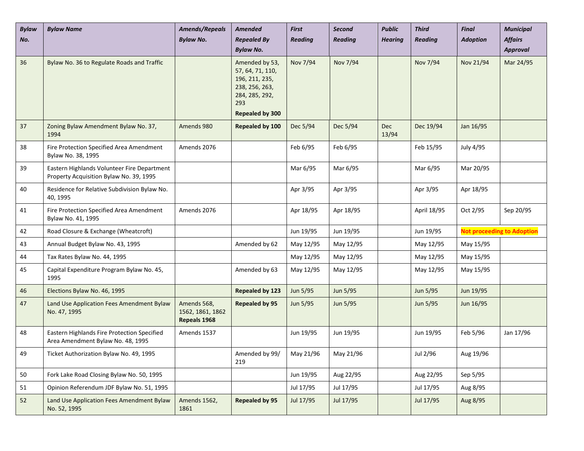| <b>Bylaw</b><br>No. | <b>Bylaw Name</b>                                                                      | <b>Amends/Repeals</b><br><b>Bylaw No.</b>       | <b>Amended</b><br><b>Repealed By</b>                                                            | <b>First</b><br><b>Reading</b> | <b>Second</b><br><b>Reading</b> | <b>Public</b><br><b>Hearing</b> | <b>Third</b><br><b>Reading</b> | <b>Final</b><br><b>Adoption</b> | <b>Municipal</b><br><b>Affairs</b> |
|---------------------|----------------------------------------------------------------------------------------|-------------------------------------------------|-------------------------------------------------------------------------------------------------|--------------------------------|---------------------------------|---------------------------------|--------------------------------|---------------------------------|------------------------------------|
|                     |                                                                                        |                                                 | <b>Bylaw No.</b>                                                                                |                                |                                 |                                 |                                |                                 | <b>Approval</b>                    |
| 36                  | Bylaw No. 36 to Regulate Roads and Traffic                                             |                                                 | Amended by 53,<br>57, 64, 71, 110,<br>196, 211, 235,<br>238, 256, 263,<br>284, 285, 292,<br>293 | Nov 7/94                       | Nov 7/94                        |                                 | Nov 7/94                       | Nov 21/94                       | Mar 24/95                          |
|                     |                                                                                        |                                                 | <b>Repealed by 300</b>                                                                          |                                |                                 |                                 |                                |                                 |                                    |
| 37                  | Zoning Bylaw Amendment Bylaw No. 37,<br>1994                                           | Amends 980                                      | Repealed by 100                                                                                 | Dec 5/94                       | Dec 5/94                        | <b>Dec</b><br>13/94             | Dec 19/94                      | Jan 16/95                       |                                    |
| 38                  | Fire Protection Specified Area Amendment<br>Bylaw No. 38, 1995                         | Amends 2076                                     |                                                                                                 | Feb 6/95                       | Feb 6/95                        |                                 | Feb 15/95                      | July 4/95                       |                                    |
| 39                  | Eastern Highlands Volunteer Fire Department<br>Property Acquisition Bylaw No. 39, 1995 |                                                 |                                                                                                 | Mar 6/95                       | Mar 6/95                        |                                 | Mar 6/95                       | Mar 20/95                       |                                    |
| 40                  | Residence for Relative Subdivision Bylaw No.<br>40, 1995                               |                                                 |                                                                                                 | Apr 3/95                       | Apr 3/95                        |                                 | Apr 3/95                       | Apr 18/95                       |                                    |
| 41                  | Fire Protection Specified Area Amendment<br>Bylaw No. 41, 1995                         | Amends 2076                                     |                                                                                                 | Apr 18/95                      | Apr 18/95                       |                                 | April 18/95                    | Oct 2/95                        | Sep 20/95                          |
| 42                  | Road Closure & Exchange (Wheatcroft)                                                   |                                                 |                                                                                                 | Jun 19/95                      | Jun 19/95                       |                                 | Jun 19/95                      |                                 | <b>Not proceeding to Adoption</b>  |
| 43                  | Annual Budget Bylaw No. 43, 1995                                                       |                                                 | Amended by 62                                                                                   | May 12/95                      | May 12/95                       |                                 | May 12/95                      | May 15/95                       |                                    |
| 44                  | Tax Rates Bylaw No. 44, 1995                                                           |                                                 |                                                                                                 | May 12/95                      | May 12/95                       |                                 | May 12/95                      | May 15/95                       |                                    |
| 45                  | Capital Expenditure Program Bylaw No. 45,<br>1995                                      |                                                 | Amended by 63                                                                                   | May 12/95                      | May 12/95                       |                                 | May 12/95                      | May 15/95                       |                                    |
| 46                  | Elections Bylaw No. 46, 1995                                                           |                                                 | <b>Repealed by 123</b>                                                                          | Jun 5/95                       | Jun 5/95                        |                                 | Jun 5/95                       | Jun 19/95                       |                                    |
| 47                  | Land Use Application Fees Amendment Bylaw<br>No. 47, 1995                              | Amends 568,<br>1562, 1861, 1862<br>Repeals 1968 | <b>Repealed by 95</b>                                                                           | Jun 5/95                       | Jun 5/95                        |                                 | Jun 5/95                       | Jun 16/95                       |                                    |
| 48                  | Eastern Highlands Fire Protection Specified<br>Area Amendment Bylaw No. 48, 1995       | Amends 1537                                     |                                                                                                 | Jun 19/95                      | Jun 19/95                       |                                 | Jun 19/95                      | Feb 5/96                        | Jan 17/96                          |
| 49                  | Ticket Authorization Bylaw No. 49, 1995                                                |                                                 | Amended by 99/<br>219                                                                           | May 21/96                      | May 21/96                       |                                 | Jul 2/96                       | Aug 19/96                       |                                    |
| 50                  | Fork Lake Road Closing Bylaw No. 50, 1995                                              |                                                 |                                                                                                 | Jun 19/95                      | Aug 22/95                       |                                 | Aug 22/95                      | Sep 5/95                        |                                    |
| 51                  | Opinion Referendum JDF Bylaw No. 51, 1995                                              |                                                 |                                                                                                 | Jul 17/95                      | Jul 17/95                       |                                 | Jul 17/95                      | Aug 8/95                        |                                    |
| 52                  | Land Use Application Fees Amendment Bylaw<br>No. 52, 1995                              | Amends 1562,<br>1861                            | <b>Repealed by 95</b>                                                                           | Jul 17/95                      | Jul 17/95                       |                                 | Jul 17/95                      | Aug 8/95                        |                                    |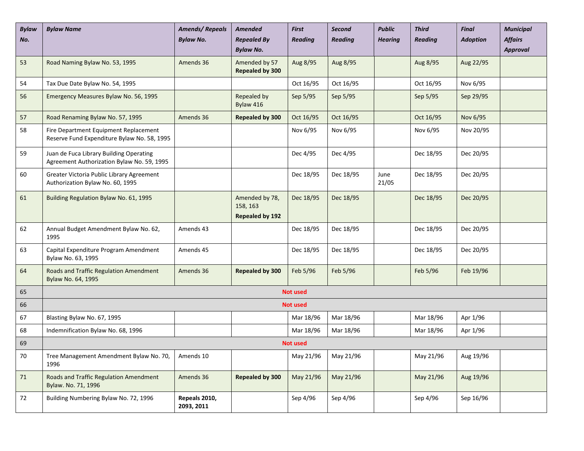| <b>Bylaw</b><br>No. | <b>Bylaw Name</b>                                                                     | <b>Amends/Repeals</b><br><b>Bylaw No.</b> | <b>Amended</b><br><b>Repealed By</b><br><b>Bylaw No.</b> | <b>First</b><br><b>Reading</b> | <b>Second</b><br><b>Reading</b> | <b>Public</b><br><b>Hearing</b> | <b>Third</b><br><b>Reading</b> | <b>Final</b><br><b>Adoption</b> | <b>Municipal</b><br><b>Affairs</b><br><b>Approval</b> |
|---------------------|---------------------------------------------------------------------------------------|-------------------------------------------|----------------------------------------------------------|--------------------------------|---------------------------------|---------------------------------|--------------------------------|---------------------------------|-------------------------------------------------------|
| 53                  | Road Naming Bylaw No. 53, 1995                                                        | Amends 36                                 | Amended by 57<br>Repealed by 300                         | Aug 8/95                       | Aug 8/95                        |                                 | Aug 8/95                       | Aug 22/95                       |                                                       |
| 54                  | Tax Due Date Bylaw No. 54, 1995                                                       |                                           |                                                          | Oct 16/95                      | Oct 16/95                       |                                 | Oct 16/95                      | Nov 6/95                        |                                                       |
| 56                  | Emergency Measures Bylaw No. 56, 1995                                                 |                                           | Repealed by<br>Bylaw 416                                 | Sep 5/95                       | Sep 5/95                        |                                 | Sep 5/95                       | Sep 29/95                       |                                                       |
| 57                  | Road Renaming Bylaw No. 57, 1995                                                      | Amends 36                                 | <b>Repealed by 300</b>                                   | Oct 16/95                      | Oct 16/95                       |                                 | Oct 16/95                      | Nov 6/95                        |                                                       |
| 58                  | Fire Department Equipment Replacement<br>Reserve Fund Expenditure Bylaw No. 58, 1995  |                                           |                                                          | Nov 6/95                       | Nov 6/95                        |                                 | Nov 6/95                       | Nov 20/95                       |                                                       |
| 59                  | Juan de Fuca Library Building Operating<br>Agreement Authorization Bylaw No. 59, 1995 |                                           |                                                          | Dec 4/95                       | Dec 4/95                        |                                 | Dec 18/95                      | Dec 20/95                       |                                                       |
| 60                  | Greater Victoria Public Library Agreement<br>Authorization Bylaw No. 60, 1995         |                                           |                                                          | Dec 18/95                      | Dec 18/95                       | June<br>21/05                   | Dec 18/95                      | Dec 20/95                       |                                                       |
| 61                  | Building Regulation Bylaw No. 61, 1995                                                |                                           | Amended by 78,<br>158, 163<br><b>Repealed by 192</b>     | Dec 18/95                      | Dec 18/95                       |                                 | Dec 18/95                      | Dec 20/95                       |                                                       |
| 62                  | Annual Budget Amendment Bylaw No. 62,<br>1995                                         | Amends 43                                 |                                                          | Dec 18/95                      | Dec 18/95                       |                                 | Dec 18/95                      | Dec 20/95                       |                                                       |
| 63                  | Capital Expenditure Program Amendment<br>Bylaw No. 63, 1995                           | Amends 45                                 |                                                          | Dec 18/95                      | Dec 18/95                       |                                 | Dec 18/95                      | Dec 20/95                       |                                                       |
| 64                  | Roads and Traffic Regulation Amendment<br>Bylaw No. 64, 1995                          | Amends 36                                 | Repealed by 300                                          | Feb 5/96                       | Feb 5/96                        |                                 | Feb 5/96                       | Feb 19/96                       |                                                       |
| 65                  |                                                                                       |                                           |                                                          | <b>Not used</b>                |                                 |                                 |                                |                                 |                                                       |
| 66                  |                                                                                       |                                           |                                                          | <b>Not used</b>                |                                 |                                 |                                |                                 |                                                       |
| 67                  | Blasting Bylaw No. 67, 1995                                                           |                                           |                                                          | Mar 18/96                      | Mar 18/96                       |                                 | Mar 18/96                      | Apr 1/96                        |                                                       |
| 68                  | Indemnification Bylaw No. 68, 1996                                                    |                                           |                                                          | Mar 18/96                      | Mar 18/96                       |                                 | Mar 18/96                      | Apr 1/96                        |                                                       |
| 69                  |                                                                                       |                                           |                                                          | <b>Not used</b>                |                                 |                                 |                                |                                 |                                                       |
| 70                  | Tree Management Amendment Bylaw No. 70,<br>1996                                       | Amends 10                                 |                                                          | May 21/96                      | May 21/96                       |                                 | May 21/96                      | Aug 19/96                       |                                                       |
| 71                  | Roads and Traffic Regulation Amendment<br>Bylaw. No. 71, 1996                         | Amends 36                                 | <b>Repealed by 300</b>                                   | May 21/96                      | May 21/96                       |                                 | May 21/96                      | Aug 19/96                       |                                                       |
| 72                  | Building Numbering Bylaw No. 72, 1996                                                 | Repeals 2010,<br>2093, 2011               |                                                          | Sep 4/96                       | Sep 4/96                        |                                 | Sep 4/96                       | Sep 16/96                       |                                                       |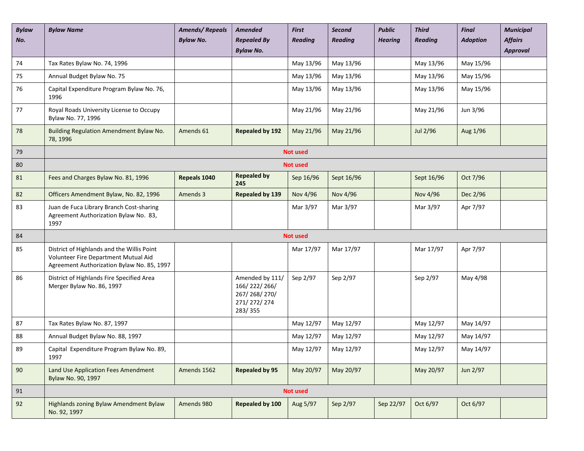| <b>Bylaw</b> | <b>Bylaw Name</b>                                                                                                                | <b>Amends/Repeals</b> | Amended                                                                   | <b>First</b>    | <b>Second</b>  | <b>Public</b>  | <b>Third</b>   | <b>Final</b>    | <b>Municipal</b>           |
|--------------|----------------------------------------------------------------------------------------------------------------------------------|-----------------------|---------------------------------------------------------------------------|-----------------|----------------|----------------|----------------|-----------------|----------------------------|
| No.          |                                                                                                                                  | <b>Bylaw No.</b>      | <b>Repealed By</b><br><b>Bylaw No.</b>                                    | <b>Reading</b>  | <b>Reading</b> | <b>Hearing</b> | <b>Reading</b> | <b>Adoption</b> | <b>Affairs</b><br>Approval |
| 74           | Tax Rates Bylaw No. 74, 1996                                                                                                     |                       |                                                                           | May 13/96       | May 13/96      |                | May 13/96      | May 15/96       |                            |
| 75           | Annual Budget Bylaw No. 75                                                                                                       |                       |                                                                           | May 13/96       | May 13/96      |                | May 13/96      | May 15/96       |                            |
| 76           | Capital Expenditure Program Bylaw No. 76,<br>1996                                                                                |                       |                                                                           | May 13/96       | May 13/96      |                | May 13/96      | May 15/96       |                            |
| 77           | Royal Roads University License to Occupy<br>Bylaw No. 77, 1996                                                                   |                       |                                                                           | May 21/96       | May 21/96      |                | May 21/96      | Jun 3/96        |                            |
| 78           | Building Regulation Amendment Bylaw No.<br>78, 1996                                                                              | Amends 61             | <b>Repealed by 192</b>                                                    | May 21/96       | May 21/96      |                | Jul 2/96       | Aug 1/96        |                            |
| 79           |                                                                                                                                  |                       |                                                                           | <b>Not used</b> |                |                |                |                 |                            |
| 80           |                                                                                                                                  |                       |                                                                           | <b>Not used</b> |                |                |                |                 |                            |
| 81           | Fees and Charges Bylaw No. 81, 1996                                                                                              | Repeals 1040          | <b>Repealed by</b><br>245                                                 | Sep 16/96       | Sept 16/96     |                | Sept 16/96     | Oct 7/96        |                            |
| 82           | Officers Amendment Bylaw, No. 82, 1996                                                                                           | Amends 3              | <b>Repealed by 139</b>                                                    | Nov 4/96        | Nov 4/96       |                | Nov 4/96       | Dec 2/96        |                            |
| 83           | Juan de Fuca Library Branch Cost-sharing<br>Agreement Authorization Bylaw No. 83,<br>1997                                        |                       |                                                                           | Mar 3/97        | Mar 3/97       |                | Mar 3/97       | Apr 7/97        |                            |
| 84           |                                                                                                                                  |                       |                                                                           | <b>Not used</b> |                |                |                |                 |                            |
| 85           | District of Highlands and the Willis Point<br>Volunteer Fire Department Mutual Aid<br>Agreement Authorization Bylaw No. 85, 1997 |                       |                                                                           | Mar 17/97       | Mar 17/97      |                | Mar 17/97      | Apr 7/97        |                            |
| 86           | District of Highlands Fire Specified Area<br>Merger Bylaw No. 86, 1997                                                           |                       | Amended by 111/<br>166/222/266/<br>267/268/270/<br>271/272/274<br>283/355 | Sep 2/97        | Sep 2/97       |                | Sep 2/97       | May 4/98        |                            |
| 87           | Tax Rates Bylaw No. 87, 1997                                                                                                     |                       |                                                                           | May 12/97       | May 12/97      |                | May 12/97      | May 14/97       |                            |
| 88           | Annual Budget Bylaw No. 88, 1997                                                                                                 |                       |                                                                           | May 12/97       | May 12/97      |                | May 12/97      | May 14/97       |                            |
| 89           | Capital Expenditure Program Bylaw No. 89,<br>1997                                                                                |                       |                                                                           | May 12/97       | May 12/97      |                | May 12/97      | May 14/97       |                            |
| 90           | Land Use Application Fees Amendment<br>Bylaw No. 90, 1997                                                                        | Amends 1562           | <b>Repealed by 95</b>                                                     | May 20/97       | May 20/97      |                | May 20/97      | Jun 2/97        |                            |
| 91           |                                                                                                                                  |                       |                                                                           | <b>Not used</b> |                |                |                |                 |                            |
| 92           | Highlands zoning Bylaw Amendment Bylaw<br>No. 92, 1997                                                                           | Amends 980            | Repealed by 100                                                           | Aug 5/97        | Sep 2/97       | Sep 22/97      | Oct 6/97       | Oct 6/97        |                            |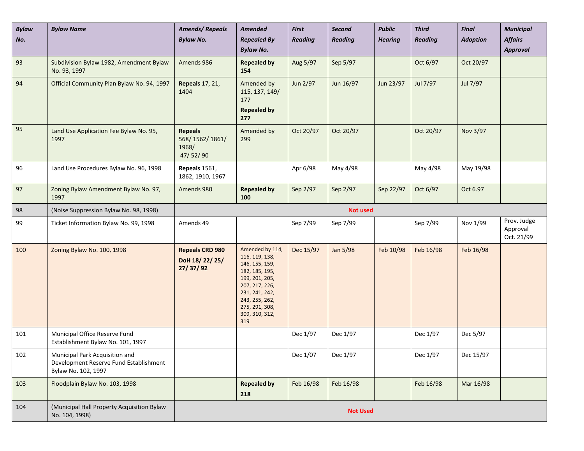| <b>Bylaw</b><br>No. | <b>Bylaw Name</b>                                                                               | <b>Amends/Repeals</b><br><b>Bylaw No.</b>             | <b>Amended</b><br><b>Repealed By</b><br><b>Bylaw No.</b>                                                                                                                                 | <b>First</b><br><b>Reading</b> | <b>Second</b><br><b>Reading</b> | <b>Public</b><br><b>Hearing</b> | <b>Third</b><br><b>Reading</b> | <b>Final</b><br><b>Adoption</b> | <b>Municipal</b><br><b>Affairs</b><br><b>Approval</b> |  |
|---------------------|-------------------------------------------------------------------------------------------------|-------------------------------------------------------|------------------------------------------------------------------------------------------------------------------------------------------------------------------------------------------|--------------------------------|---------------------------------|---------------------------------|--------------------------------|---------------------------------|-------------------------------------------------------|--|
| 93                  | Subdivision Bylaw 1982, Amendment Bylaw<br>No. 93, 1997                                         | Amends 986                                            | <b>Repealed by</b><br>154                                                                                                                                                                | Aug 5/97                       | Sep 5/97                        |                                 | Oct 6/97                       | Oct 20/97                       |                                                       |  |
| 94                  | Official Community Plan Bylaw No. 94, 1997                                                      | <b>Repeals</b> 17, 21,<br>1404                        | Amended by<br>115, 137, 149/<br>177<br><b>Repealed by</b><br>277                                                                                                                         | Jun 2/97                       | Jun 16/97                       | Jun 23/97                       | Jul 7/97                       | Jul 7/97                        |                                                       |  |
| 95                  | Land Use Application Fee Bylaw No. 95,<br>1997                                                  | <b>Repeals</b><br>568/1562/1861/<br>1968/<br>47/52/90 | Amended by<br>299                                                                                                                                                                        | Oct 20/97                      | Oct 20/97                       |                                 | Oct 20/97                      | Nov 3/97                        |                                                       |  |
| 96                  | Land Use Procedures Bylaw No. 96, 1998                                                          | Repeals 1561,<br>1862, 1910, 1967                     |                                                                                                                                                                                          | Apr 6/98                       | May 4/98                        |                                 | May 4/98                       | May 19/98                       |                                                       |  |
| 97                  | Zoning Bylaw Amendment Bylaw No. 97,<br>1997                                                    | Amends 980                                            | <b>Repealed by</b><br>100                                                                                                                                                                | Sep 2/97                       | Sep 2/97                        | Sep 22/97                       | Oct 6/97                       | Oct 6.97                        |                                                       |  |
| 98                  | (Noise Suppression Bylaw No. 98, 1998)                                                          | <b>Not used</b>                                       |                                                                                                                                                                                          |                                |                                 |                                 |                                |                                 |                                                       |  |
| 99                  | Ticket Information Bylaw No. 99, 1998                                                           | Amends 49                                             |                                                                                                                                                                                          | Sep 7/99                       | Sep 7/99                        |                                 | Sep 7/99                       | Nov 1/99                        | Prov. Judge<br>Approval<br>Oct. 21/99                 |  |
| 100                 | Zoning Bylaw No. 100, 1998                                                                      | <b>Repeals CRD 980</b><br>DoH 18/22/25/<br>27/37/92   | Amended by 114,<br>116, 119, 138,<br>146, 155, 159,<br>182, 185, 195,<br>199, 201, 205,<br>207, 217, 226,<br>231, 241, 242,<br>243, 255, 262,<br>275, 291, 308,<br>309, 310, 312,<br>319 | Dec 15/97                      | Jan 5/98                        | Feb 10/98                       | Feb 16/98                      | Feb 16/98                       |                                                       |  |
| 101                 | Municipal Office Reserve Fund<br>Establishment Bylaw No. 101, 1997                              |                                                       |                                                                                                                                                                                          | Dec 1/97                       | Dec 1/97                        |                                 | Dec 1/97                       | Dec 5/97                        |                                                       |  |
| 102                 | Municipal Park Acquisition and<br>Development Reserve Fund Establishment<br>Bylaw No. 102, 1997 |                                                       |                                                                                                                                                                                          | Dec 1/07                       | Dec 1/97                        |                                 | Dec 1/97                       | Dec 15/97                       |                                                       |  |
| 103                 | Floodplain Bylaw No. 103, 1998                                                                  |                                                       | <b>Repealed by</b><br>218                                                                                                                                                                | Feb 16/98                      | Feb 16/98                       |                                 | Feb 16/98                      | Mar 16/98                       |                                                       |  |
| 104                 | (Municipal Hall Property Acquisition Bylaw<br>No. 104, 1998)                                    | <b>Not Used</b>                                       |                                                                                                                                                                                          |                                |                                 |                                 |                                |                                 |                                                       |  |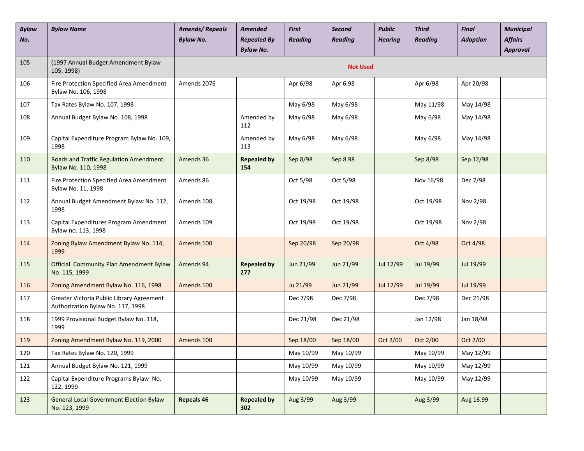| <b>Bylaw</b><br>No. | <b>Bylaw Name</b>                                                              | <b>Amends/Repeals</b><br><b>Bylaw No.</b> | <b>Amended</b><br><b>Repealed By</b><br><b>Bylaw No.</b> | <b>First</b><br><b>Reading</b> | Second<br><b>Reading</b> | <b>Public</b><br><b>Hearing</b> | <b>Third</b><br><b>Reading</b> | <b>Final</b><br><b>Adoption</b> | <b>Municipal</b><br><b>Affairs</b><br><b>Approval</b> |
|---------------------|--------------------------------------------------------------------------------|-------------------------------------------|----------------------------------------------------------|--------------------------------|--------------------------|---------------------------------|--------------------------------|---------------------------------|-------------------------------------------------------|
| 105                 | (1997 Annual Budget Amendment Bylaw<br>105, 1998)                              |                                           |                                                          |                                | <b>Not Used</b>          |                                 |                                |                                 |                                                       |
| 106                 | Fire Protection Specified Area Amendment<br>Bylaw No. 106, 1998                | Amends 2076                               |                                                          | Apr 6/98                       | Apr 6.98                 |                                 | Apr 6/98                       | Apr 20/98                       |                                                       |
| 107                 | Tax Rates Bylaw No. 107, 1998                                                  |                                           |                                                          | May 6/98                       | May 6/98                 |                                 | May 11/98                      | May 14/98                       |                                                       |
| 108                 | Annual Budget Bylaw No. 108, 1998                                              |                                           | Amended by<br>112                                        | May 6/98                       | May 6/98                 |                                 | May 6/98                       | May 14/98                       |                                                       |
| 109                 | Capital Expenditure Program Bylaw No. 109,<br>1998                             |                                           | Amended by<br>113                                        | May 6/98                       | May 6/98                 |                                 | May 6/98                       | May 14/98                       |                                                       |
| 110                 | Roads and Traffic Regulation Amendment<br>Bylaw No. 110, 1998                  | Amends 36                                 | <b>Repealed by</b><br>154                                | Sep 8/98                       | Sep 8.98                 |                                 | Sep 8/98                       | Sep 12/98                       |                                                       |
| 111                 | Fire Protection Specified Area Amendment<br>Bylaw No. 11, 1998                 | Amends 86                                 |                                                          | Oct 5/98                       | Oct 5/98                 |                                 | Nov 16/98                      | Dec 7/98                        |                                                       |
| 112                 | Annual Budget Amendment Bylaw No. 112,<br>1998                                 | Amends 108                                |                                                          | Oct 19/98                      | Oct 19/98                |                                 | Oct 19/98                      | Nov 2/98                        |                                                       |
| 113                 | Capital Expenditures Program Amendment<br>Bylaw no. 113, 1998                  | Amends 109                                |                                                          | Oct 19/98                      | Oct 19/98                |                                 | Oct 19/98                      | Nov 2/98                        |                                                       |
| 114                 | Zoning Bylaw Amendment Bylaw No. 114,<br>1999                                  | Amends 100                                |                                                          | Sep 20/98                      | Sep 20/98                |                                 | Oct 4/98                       | Oct 4/98                        |                                                       |
| 115                 | Official Community Plan Amendment Bylaw<br>No. 115, 1999                       | Amends 94                                 | <b>Repealed by</b><br>277                                | Jun 21/99                      | Jun 21/99                | Jul 12/99                       | Jul 19/99                      | Jul 19/99                       |                                                       |
| 116                 | Zoning Amendment Bylaw No. 116, 1998                                           | Amends 100                                |                                                          | Ju 21/99                       | Jun 21/99                | Jul 12/99                       | Jul 19/99                      | Jul 19/99                       |                                                       |
| 117                 | Greater Victoria Public Library Agreement<br>Authorization Bylaw No. 117, 1998 |                                           |                                                          | Dec 7/98                       | Dec 7/98                 |                                 | Dec 7/98                       | Dec 21/98                       |                                                       |
| 118                 | 1999 Provisional Budget Bylaw No. 118,<br>1999                                 |                                           |                                                          | Dec 21/98                      | Dec 21/98                |                                 | Jan 12/98                      | Jan 18/98                       |                                                       |
| 119                 | Zoning Amendment Bylaw No. 119, 2000                                           | Amends 100                                |                                                          | Sep 18/00                      | Sep 18/00                | Oct 2/00                        | Oct 2/00                       | Oct 2/00                        |                                                       |
| 120                 | Tax Rates Bylaw No. 120, 1999                                                  |                                           |                                                          | May 10/99                      | May 10/99                |                                 | May 10/99                      | May 12/99                       |                                                       |
| 121                 | Annual Budget Bylaw No. 121, 1999                                              |                                           |                                                          | May 10/99                      | May 10/99                |                                 | May 10/99                      | May 12/99                       |                                                       |
| 122                 | Capital Expenditure Programs Bylaw No.<br>122, 1999                            |                                           |                                                          | May 10/99                      | May 10/99                |                                 | May 10/99                      | May 12/99                       |                                                       |
| 123                 | <b>General Local Government Election Bylaw</b><br>No. 123, 1999                | <b>Repeals 46</b>                         | <b>Repealed by</b><br>302                                | Aug 3/99                       | Aug 3/99                 |                                 | Aug 3/99                       | Aug 16.99                       |                                                       |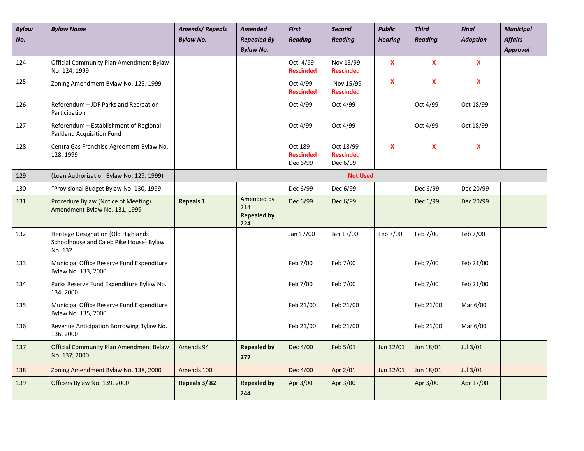| <b>Bylaw</b><br>No. | <b>Bylaw Name</b>                                                                         | <b>Amends/Repeals</b><br><b>Bylaw No.</b> | <b>Amended</b><br><b>Repealed By</b><br><b>Bylaw No.</b> | <b>First</b><br><b>Reading</b>          | <b>Second</b><br><b>Reading</b>           | <b>Public</b><br><b>Hearing</b> | <b>Third</b><br><b>Reading</b> | <b>Final</b><br><b>Adoption</b> | <b>Municipal</b><br><b>Affairs</b><br><b>Approval</b> |
|---------------------|-------------------------------------------------------------------------------------------|-------------------------------------------|----------------------------------------------------------|-----------------------------------------|-------------------------------------------|---------------------------------|--------------------------------|---------------------------------|-------------------------------------------------------|
| 124                 | Official Community Plan Amendment Bylaw<br>No. 124, 1999                                  |                                           |                                                          | Oct. 4/99<br><b>Rescinded</b>           | Nov 15/99<br><b>Rescinded</b>             | $\mathbf{x}$                    | $\pmb{\mathsf{X}}$             | $\pmb{\mathsf{x}}$              |                                                       |
| 125                 | Zoning Amendment Bylaw No. 125, 1999                                                      |                                           |                                                          | Oct 4/99<br><b>Rescinded</b>            | Nov 15/99<br><b>Rescinded</b>             | X                               | $\mathbf x$                    | $\mathbf{x}$                    |                                                       |
| 126                 | Referendum - JDF Parks and Recreation<br>Participation                                    |                                           |                                                          | Oct 4/99                                | Oct 4/99                                  |                                 | Oct 4/99                       | Oct 18/99                       |                                                       |
| 127                 | Referendum - Establishment of Regional<br>Parkland Acquisition Fund                       |                                           |                                                          | Oct 4/99                                | Oct 4/99                                  |                                 | Oct 4/99                       | Oct 18/99                       |                                                       |
| 128                 | Centra Gas Franchise Agreement Bylaw No.<br>128, 1999                                     |                                           |                                                          | Oct 189<br><b>Rescinded</b><br>Dec 6/99 | Oct 18/99<br><b>Rescinded</b><br>Dec 6/99 | $\pmb{\mathsf{X}}$              | $\pmb{\mathsf{X}}$             | $\pmb{\mathsf{X}}$              |                                                       |
| 129                 | (Loan Authorization Bylaw No. 129, 1999)                                                  |                                           |                                                          |                                         | <b>Not Used</b>                           |                                 |                                |                                 |                                                       |
| 130                 | "Provisional Budget Bylaw No. 130, 1999                                                   |                                           |                                                          | Dec 6/99                                | Dec 6/99                                  |                                 | Dec 6/99                       | Dec 20/99                       |                                                       |
| 131                 | Procedure Bylaw (Notice of Meeting)<br>Amendment Bylaw No. 131, 1999                      | <b>Repeals 1</b>                          | Amended by<br>214<br><b>Repealed by</b><br>224           | Dec 6/99                                | Dec 6/99                                  |                                 | Dec 6/99                       | Dec 20/99                       |                                                       |
| 132                 | Heritage Designation (Old Highlands<br>Schoolhouse and Caleb Pike House) Bylaw<br>No. 132 |                                           |                                                          | Jan 17/00                               | Jan 17/00                                 | Feb 7/00                        | Feb 7/00                       | Feb 7/00                        |                                                       |
| 133                 | Municipal Office Reserve Fund Expenditure<br>Bylaw No. 133, 2000                          |                                           |                                                          | Feb 7/00                                | Feb 7/00                                  |                                 | Feb 7/00                       | Feb 21/00                       |                                                       |
| 134                 | Parks Reserve Fund Expenditure Bylaw No.<br>134, 2000                                     |                                           |                                                          | Feb 7/00                                | Feb 7/00                                  |                                 | Feb 7/00                       | Feb 21/00                       |                                                       |
| 135                 | Municipal Office Reserve Fund Expenditure<br>Bylaw No. 135, 2000                          |                                           |                                                          | Feb 21/00                               | Feb 21/00                                 |                                 | Feb 21/00                      | Mar 6/00                        |                                                       |
| 136                 | Revenue Anticipation Borrowing Bylaw No.<br>136, 2000                                     |                                           |                                                          | Feb 21/00                               | Feb 21/00                                 |                                 | Feb 21/00                      | Mar 6/00                        |                                                       |
| 137                 | <b>Official Community Plan Amendment Bylaw</b><br>No. 137, 2000                           | Amends 94                                 | <b>Repealed by</b><br>277                                | Dec 4/00                                | Feb 5/01                                  | Jun 12/01                       | Jun 18/01                      | Jul 3/01                        |                                                       |
| 138                 | Zoning Amendment Bylaw No. 138, 2000                                                      | Amends 100                                |                                                          | Dec 4/00                                | Apr 2/01                                  | Jun 12/01                       | Jun 18/01                      | Jul 3/01                        |                                                       |
| 139                 | Officers Bylaw No. 139, 2000                                                              | Repeals 3/82                              | <b>Repealed by</b><br>244                                | Apr 3/00                                | Apr 3/00                                  |                                 | Apr 3/00                       | Apr 17/00                       |                                                       |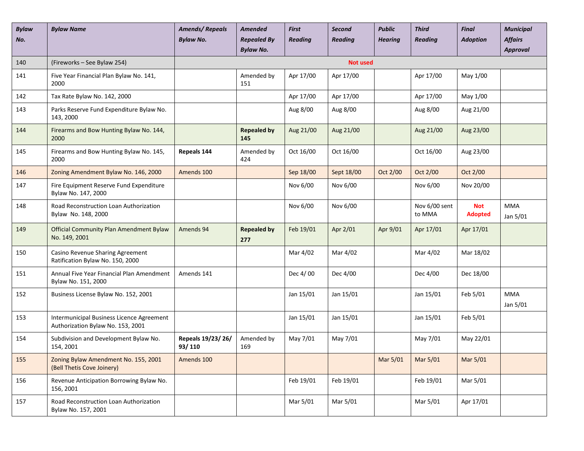| <b>Bylaw</b><br>No. | <b>Bylaw Name</b>                                                              | <b>Amends/Repeals</b><br><b>Bylaw No.</b> | <b>Amended</b><br><b>Repealed By</b><br><b>Bylaw No.</b> | <b>First</b><br><b>Reading</b> | Second<br><b>Reading</b> | <b>Public</b><br><b>Hearing</b> | <b>Third</b><br><b>Reading</b> | <b>Final</b><br><b>Adoption</b> | <b>Municipal</b><br><b>Affairs</b><br><b>Approval</b> |
|---------------------|--------------------------------------------------------------------------------|-------------------------------------------|----------------------------------------------------------|--------------------------------|--------------------------|---------------------------------|--------------------------------|---------------------------------|-------------------------------------------------------|
| 140                 | (Fireworks - See Bylaw 254)                                                    |                                           |                                                          |                                | <b>Not used</b>          |                                 |                                |                                 |                                                       |
| 141                 | Five Year Financial Plan Bylaw No. 141,<br>2000                                |                                           | Amended by<br>151                                        | Apr 17/00                      | Apr 17/00                |                                 | Apr 17/00                      | May 1/00                        |                                                       |
| 142                 | Tax Rate Bylaw No. 142, 2000                                                   |                                           |                                                          | Apr 17/00                      | Apr 17/00                |                                 | Apr 17/00                      | May 1/00                        |                                                       |
| 143                 | Parks Reserve Fund Expenditure Bylaw No.<br>143, 2000                          |                                           |                                                          | Aug 8/00                       | Aug 8/00                 |                                 | Aug 8/00                       | Aug 21/00                       |                                                       |
| 144                 | Firearms and Bow Hunting Bylaw No. 144,<br>2000                                |                                           | <b>Repealed by</b><br>145                                | Aug 21/00                      | Aug 21/00                |                                 | Aug 21/00                      | Aug 23/00                       |                                                       |
| 145                 | Firearms and Bow Hunting Bylaw No. 145,<br>2000                                | Repeals 144                               | Amended by<br>424                                        | Oct 16/00                      | Oct 16/00                |                                 | Oct 16/00                      | Aug 23/00                       |                                                       |
| 146                 | Zoning Amendment Bylaw No. 146, 2000                                           | Amends 100                                |                                                          | Sep 18/00                      | Sept 18/00               | Oct 2/00                        | Oct 2/00                       | Oct 2/00                        |                                                       |
| 147                 | Fire Equipment Reserve Fund Expenditure<br>Bylaw No. 147, 2000                 |                                           |                                                          | Nov 6/00                       | Nov 6/00                 |                                 | Nov 6/00                       | Nov 20/00                       |                                                       |
| 148                 | Road Reconstruction Loan Authorization<br>Bylaw No. 148, 2000                  |                                           |                                                          | Nov 6/00                       | Nov 6/00                 |                                 | Nov 6/00 sent<br>to MMA        | <b>Not</b><br><b>Adopted</b>    | <b>MMA</b><br>Jan 5/01                                |
| 149                 | <b>Official Community Plan Amendment Bylaw</b><br>No. 149, 2001                | Amends 94                                 | <b>Repealed by</b><br>277                                | Feb 19/01                      | Apr 2/01                 | Apr 9/01                        | Apr 17/01                      | Apr 17/01                       |                                                       |
| 150                 | Casino Revenue Sharing Agreement<br>Ratification Bylaw No. 150, 2000           |                                           |                                                          | Mar 4/02                       | Mar 4/02                 |                                 | Mar 4/02                       | Mar 18/02                       |                                                       |
| 151                 | Annual Five Year Financial Plan Amendment<br>Bylaw No. 151, 2000               | Amends 141                                |                                                          | Dec 4/00                       | Dec 4/00                 |                                 | Dec 4/00                       | Dec 18/00                       |                                                       |
| 152                 | Business License Bylaw No. 152, 2001                                           |                                           |                                                          | Jan 15/01                      | Jan 15/01                |                                 | Jan 15/01                      | Feb 5/01                        | <b>MMA</b><br>Jan 5/01                                |
| 153                 | Intermunicipal Business Licence Agreement<br>Authorization Bylaw No. 153, 2001 |                                           |                                                          | Jan 15/01                      | Jan 15/01                |                                 | Jan 15/01                      | Feb 5/01                        |                                                       |
| 154                 | Subdivision and Development Bylaw No.<br>154, 2001                             | Repeals 19/23/26/<br>93/110               | Amended by<br>169                                        | May 7/01                       | May 7/01                 |                                 | May 7/01                       | May 22/01                       |                                                       |
| 155                 | Zoning Bylaw Amendment No. 155, 2001<br>(Bell Thetis Cove Joinery)             | Amends 100                                |                                                          |                                |                          | Mar 5/01                        | Mar 5/01                       | Mar 5/01                        |                                                       |
| 156                 | Revenue Anticipation Borrowing Bylaw No.<br>156, 2001                          |                                           |                                                          | Feb 19/01                      | Feb 19/01                |                                 | Feb 19/01                      | Mar 5/01                        |                                                       |
| 157                 | Road Reconstruction Loan Authorization<br>Bylaw No. 157, 2001                  |                                           |                                                          | Mar 5/01                       | Mar 5/01                 |                                 | Mar 5/01                       | Apr 17/01                       |                                                       |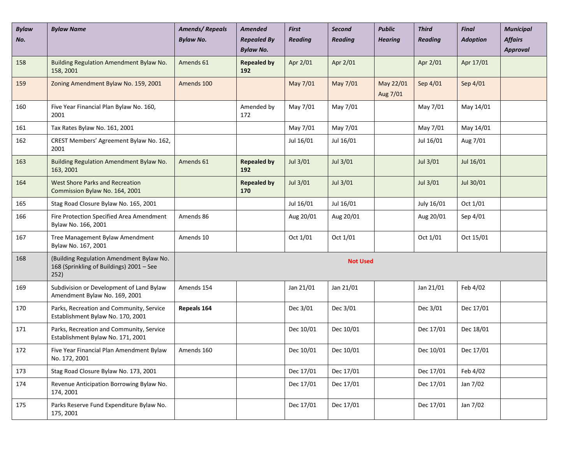| <b>Bylaw</b><br>No. | <b>Bylaw Name</b>                                                                            | <b>Amends/Repeals</b><br><b>Bylaw No.</b> | <b>Amended</b><br><b>Repealed By</b><br><b>Bylaw No.</b> | <b>First</b><br><b>Reading</b> | Second<br><b>Reading</b> | <b>Public</b><br><b>Hearing</b> | <b>Third</b><br><b>Reading</b> | <b>Final</b><br><b>Adoption</b> | <b>Municipal</b><br><b>Affairs</b><br>Approval |
|---------------------|----------------------------------------------------------------------------------------------|-------------------------------------------|----------------------------------------------------------|--------------------------------|--------------------------|---------------------------------|--------------------------------|---------------------------------|------------------------------------------------|
| 158                 | Building Regulation Amendment Bylaw No.<br>158, 2001                                         | Amends 61                                 | <b>Repealed by</b><br>192                                | Apr 2/01                       | Apr 2/01                 |                                 | Apr 2/01                       | Apr 17/01                       |                                                |
| 159                 | Zoning Amendment Bylaw No. 159, 2001                                                         | Amends 100                                |                                                          | May 7/01                       | May 7/01                 | May 22/01<br>Aug 7/01           | Sep 4/01                       | Sep 4/01                        |                                                |
| 160                 | Five Year Financial Plan Bylaw No. 160,<br>2001                                              |                                           | Amended by<br>172                                        | May 7/01                       | May 7/01                 |                                 | May 7/01                       | May 14/01                       |                                                |
| 161                 | Tax Rates Bylaw No. 161, 2001                                                                |                                           |                                                          | May 7/01                       | May 7/01                 |                                 | May 7/01                       | May 14/01                       |                                                |
| 162                 | CREST Members' Agreement Bylaw No. 162,<br>2001                                              |                                           |                                                          | Jul 16/01                      | Jul 16/01                |                                 | Jul 16/01                      | Aug 7/01                        |                                                |
| 163                 | Building Regulation Amendment Bylaw No.<br>163, 2001                                         | Amends 61                                 | <b>Repealed by</b><br>192                                | Jul 3/01                       | Jul 3/01                 |                                 | Jul 3/01                       | Jul 16/01                       |                                                |
| 164                 | <b>West Shore Parks and Recreation</b><br>Commission Bylaw No. 164, 2001                     |                                           | <b>Repealed by</b><br>170                                | Jul 3/01                       | Jul 3/01                 |                                 | Jul 3/01                       | Jul 30/01                       |                                                |
| 165                 | Stag Road Closure Bylaw No. 165, 2001                                                        |                                           |                                                          | Jul 16/01                      | Jul 16/01                |                                 | July 16/01                     | Oct 1/01                        |                                                |
| 166                 | Fire Protection Specified Area Amendment<br>Bylaw No. 166, 2001                              | Amends 86                                 |                                                          | Aug 20/01                      | Aug 20/01                |                                 | Aug 20/01                      | Sep 4/01                        |                                                |
| 167                 | Tree Management Bylaw Amendment<br>Bylaw No. 167, 2001                                       | Amends 10                                 |                                                          | Oct 1/01                       | Oct 1/01                 |                                 | Oct 1/01                       | Oct 15/01                       |                                                |
| 168                 | (Building Regulation Amendment Bylaw No.<br>168 (Sprinkling of Buildings) 2001 - See<br>252) |                                           |                                                          |                                | <b>Not Used</b>          |                                 |                                |                                 |                                                |
| 169                 | Subdivision or Development of Land Bylaw<br>Amendment Bylaw No. 169, 2001                    | Amends 154                                |                                                          | Jan 21/01                      | Jan 21/01                |                                 | Jan 21/01                      | Feb 4/02                        |                                                |
| 170                 | Parks, Recreation and Community, Service<br>Establishment Bylaw No. 170, 2001                | Repeals 164                               |                                                          | Dec 3/01                       | Dec 3/01                 |                                 | Dec 3/01                       | Dec 17/01                       |                                                |
| 171                 | Parks, Recreation and Community, Service<br>Establishment Bylaw No. 171, 2001                |                                           |                                                          | Dec 10/01                      | Dec 10/01                |                                 | Dec 17/01                      | Dec 18/01                       |                                                |
| 172                 | Five Year Financial Plan Amendment Bylaw<br>No. 172, 2001                                    | Amends 160                                |                                                          | Dec 10/01                      | Dec 10/01                |                                 | Dec 10/01                      | Dec 17/01                       |                                                |
| 173                 | Stag Road Closure Bylaw No. 173, 2001                                                        |                                           |                                                          | Dec 17/01                      | Dec 17/01                |                                 | Dec 17/01                      | Feb 4/02                        |                                                |
| 174                 | Revenue Anticipation Borrowing Bylaw No.<br>174, 2001                                        |                                           |                                                          | Dec 17/01                      | Dec 17/01                |                                 | Dec 17/01                      | Jan 7/02                        |                                                |
| 175                 | Parks Reserve Fund Expenditure Bylaw No.<br>175, 2001                                        |                                           |                                                          | Dec 17/01                      | Dec 17/01                |                                 | Dec 17/01                      | Jan 7/02                        |                                                |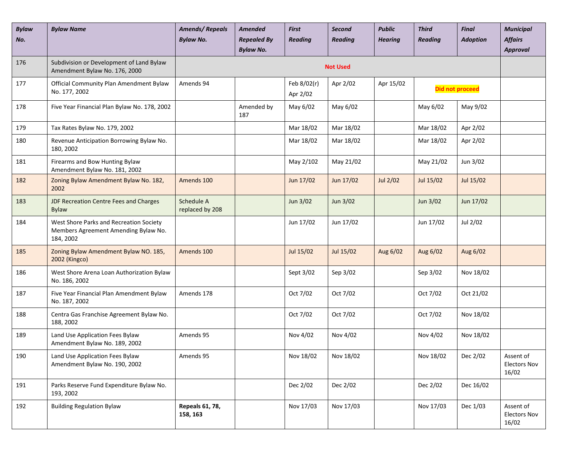| <b>Bylaw</b><br>No. | <b>Bylaw Name</b>                                                                            | <b>Amends/Repeals</b><br><b>Bylaw No.</b> | <b>Amended</b><br><b>Repealed By</b><br><b>Bylaw No.</b> | <b>First</b><br><b>Reading</b> | Second<br><b>Reading</b> | <b>Public</b><br><b>Hearing</b> | <b>Third</b><br><b>Reading</b> | <b>Final</b><br><b>Adoption</b> | <b>Municipal</b><br><b>Affairs</b><br><b>Approval</b> |
|---------------------|----------------------------------------------------------------------------------------------|-------------------------------------------|----------------------------------------------------------|--------------------------------|--------------------------|---------------------------------|--------------------------------|---------------------------------|-------------------------------------------------------|
| 176                 | Subdivision or Development of Land Bylaw<br>Amendment Bylaw No. 176, 2000                    |                                           |                                                          |                                | <b>Not Used</b>          |                                 |                                |                                 |                                                       |
| 177                 | Official Community Plan Amendment Bylaw<br>No. 177, 2002                                     | Amends 94                                 |                                                          | Feb 8/02(r)<br>Apr 2/02        | Apr 2/02                 | Apr 15/02                       |                                | <b>Did not proceed</b>          |                                                       |
| 178                 | Five Year Financial Plan Bylaw No. 178, 2002                                                 |                                           | Amended by<br>187                                        | May 6/02                       | May 6/02                 |                                 | May 6/02                       | May 9/02                        |                                                       |
| 179                 | Tax Rates Bylaw No. 179, 2002                                                                |                                           |                                                          | Mar 18/02                      | Mar 18/02                |                                 | Mar 18/02                      | Apr 2/02                        |                                                       |
| 180                 | Revenue Anticipation Borrowing Bylaw No.<br>180, 2002                                        |                                           |                                                          | Mar 18/02                      | Mar 18/02                |                                 | Mar 18/02                      | Apr 2/02                        |                                                       |
| 181                 | Firearms and Bow Hunting Bylaw<br>Amendment Bylaw No. 181, 2002                              |                                           |                                                          | May 2/102                      | May 21/02                |                                 | May 21/02                      | Jun 3/02                        |                                                       |
| 182                 | Zoning Bylaw Amendment Bylaw No. 182,<br>2002                                                | Amends 100                                |                                                          | Jun 17/02                      | Jun 17/02                | Jul 2/02                        | Jul 15/02                      | Jul 15/02                       |                                                       |
| 183                 | JDF Recreation Centre Fees and Charges<br><b>Bylaw</b>                                       | Schedule A<br>replaced by 208             |                                                          | Jun 3/02                       | Jun 3/02                 |                                 | Jun 3/02                       | Jun 17/02                       |                                                       |
| 184                 | West Shore Parks and Recreation Society<br>Members Agreement Amending Bylaw No.<br>184, 2002 |                                           |                                                          | Jun 17/02                      | Jun 17/02                |                                 | Jun 17/02                      | Jul 2/02                        |                                                       |
| 185                 | Zoning Bylaw Amendment Bylaw NO. 185,<br>2002 (Kingco)                                       | Amends 100                                |                                                          | Jul 15/02                      | Jul 15/02                | Aug 6/02                        | Aug 6/02                       | Aug 6/02                        |                                                       |
| 186                 | West Shore Arena Loan Authorization Bylaw<br>No. 186, 2002                                   |                                           |                                                          | Sept 3/02                      | Sep 3/02                 |                                 | Sep 3/02                       | Nov 18/02                       |                                                       |
| 187                 | Five Year Financial Plan Amendment Bylaw<br>No. 187, 2002                                    | Amends 178                                |                                                          | Oct 7/02                       | Oct 7/02                 |                                 | Oct 7/02                       | Oct 21/02                       |                                                       |
| 188                 | Centra Gas Franchise Agreement Bylaw No.<br>188, 2002                                        |                                           |                                                          | Oct 7/02                       | Oct 7/02                 |                                 | Oct 7/02                       | Nov 18/02                       |                                                       |
| 189                 | Land Use Application Fees Bylaw<br>Amendment Bylaw No. 189, 2002                             | Amends 95                                 |                                                          | Nov 4/02                       | Nov 4/02                 |                                 | Nov 4/02                       | Nov 18/02                       |                                                       |
| 190                 | Land Use Application Fees Bylaw<br>Amendment Bylaw No. 190, 2002                             | Amends 95                                 |                                                          | Nov 18/02                      | Nov 18/02                |                                 | Nov 18/02                      | Dec 2/02                        | Assent of<br><b>Electors Nov</b><br>16/02             |
| 191                 | Parks Reserve Fund Expenditure Bylaw No.<br>193, 2002                                        |                                           |                                                          | Dec 2/02                       | Dec 2/02                 |                                 | Dec 2/02                       | Dec 16/02                       |                                                       |
| 192                 | <b>Building Regulation Bylaw</b>                                                             | Repeals 61, 78,<br>158, 163               |                                                          | Nov 17/03                      | Nov 17/03                |                                 | Nov 17/03                      | Dec 1/03                        | Assent of<br><b>Electors Nov</b><br>16/02             |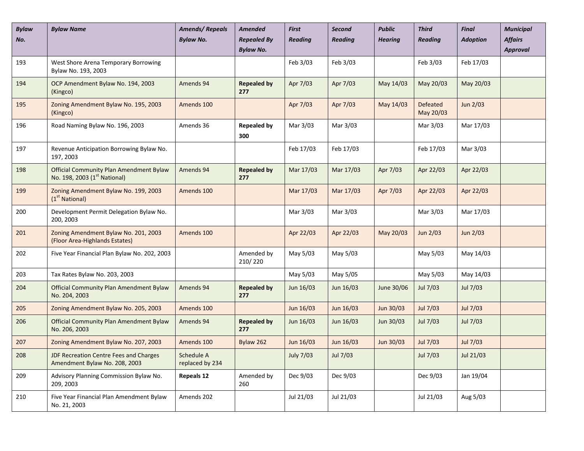| <b>Bylaw</b><br>No. | <b>Bylaw Name</b>                                                                   | <b>Amends/Repeals</b><br><b>Bylaw No.</b> | <b>Amended</b><br><b>Repealed By</b><br><b>Bylaw No.</b> | <b>First</b><br><b>Reading</b> | <b>Second</b><br><b>Reading</b> | <b>Public</b><br><b>Hearing</b> | <b>Third</b><br><b>Reading</b> | <b>Final</b><br><b>Adoption</b> | <b>Municipal</b><br><b>Affairs</b><br>Approval |
|---------------------|-------------------------------------------------------------------------------------|-------------------------------------------|----------------------------------------------------------|--------------------------------|---------------------------------|---------------------------------|--------------------------------|---------------------------------|------------------------------------------------|
| 193                 | West Shore Arena Temporary Borrowing<br>Bylaw No. 193, 2003                         |                                           |                                                          | Feb 3/03                       | Feb 3/03                        |                                 | Feb 3/03                       | Feb 17/03                       |                                                |
| 194                 | OCP Amendment Bylaw No. 194, 2003<br>(Kingco)                                       | Amends 94                                 | <b>Repealed by</b><br>277                                | Apr 7/03                       | Apr 7/03                        | May 14/03                       | May 20/03                      | May 20/03                       |                                                |
| 195                 | Zoning Amendment Bylaw No. 195, 2003<br>(Kingco)                                    | Amends 100                                |                                                          | Apr 7/03                       | Apr 7/03                        | May 14/03                       | Defeated<br>May 20/03          | Jun 2/03                        |                                                |
| 196                 | Road Naming Bylaw No. 196, 2003                                                     | Amends 36                                 | <b>Repealed by</b><br>300                                | Mar 3/03                       | Mar 3/03                        |                                 | Mar 3/03                       | Mar 17/03                       |                                                |
| 197                 | Revenue Anticipation Borrowing Bylaw No.<br>197, 2003                               |                                           |                                                          | Feb 17/03                      | Feb 17/03                       |                                 | Feb 17/03                      | Mar 3/03                        |                                                |
| 198                 | Official Community Plan Amendment Bylaw<br>No. 198, 2003 (1 <sup>st</sup> National) | Amends 94                                 | <b>Repealed by</b><br>277                                | Mar 17/03                      | Mar 17/03                       | Apr 7/03                        | Apr 22/03                      | Apr 22/03                       |                                                |
| 199                 | Zoning Amendment Bylaw No. 199, 2003<br>(1 <sup>st</sup> National)                  | Amends 100                                |                                                          | Mar 17/03                      | Mar 17/03                       | Apr 7/03                        | Apr 22/03                      | Apr 22/03                       |                                                |
| 200                 | Development Permit Delegation Bylaw No.<br>200, 2003                                |                                           |                                                          | Mar 3/03                       | Mar 3/03                        |                                 | Mar 3/03                       | Mar 17/03                       |                                                |
| 201                 | Zoning Amendment Bylaw No. 201, 2003<br>(Floor Area-Highlands Estates)              | Amends 100                                |                                                          | Apr 22/03                      | Apr 22/03                       | May 20/03                       | Jun 2/03                       | Jun 2/03                        |                                                |
| 202                 | Five Year Financial Plan Bylaw No. 202, 2003                                        |                                           | Amended by<br>210/220                                    | May 5/03                       | May 5/03                        |                                 | May 5/03                       | May 14/03                       |                                                |
| 203                 | Tax Rates Bylaw No. 203, 2003                                                       |                                           |                                                          | May 5/03                       | May 5/05                        |                                 | May 5/03                       | May 14/03                       |                                                |
| 204                 | <b>Official Community Plan Amendment Bylaw</b><br>No. 204, 2003                     | Amends 94                                 | <b>Repealed by</b><br>277                                | Jun 16/03                      | Jun 16/03                       | June 30/06                      | Jul 7/03                       | Jul 7/03                        |                                                |
| 205                 | Zoning Amendment Bylaw No. 205, 2003                                                | Amends 100                                |                                                          | Jun 16/03                      | Jun 16/03                       | Jun 30/03                       | Jul 7/03                       | Jul 7/03                        |                                                |
| 206                 | <b>Official Community Plan Amendment Bylaw</b><br>No. 206, 2003                     | Amends 94                                 | <b>Repealed by</b><br>277                                | Jun 16/03                      | Jun 16/03                       | Jun 30/03                       | Jul 7/03                       | Jul 7/03                        |                                                |
| 207                 | Zoning Amendment Bylaw No. 207, 2003                                                | Amends 100                                | Bylaw 262                                                | Jun 16/03                      | Jun 16/03                       | Jun 30/03                       | Jul 7/03                       | Jul 7/03                        |                                                |
| 208                 | <b>JDF Recreation Centre Fees and Charges</b><br>Amendment Bylaw No. 208, 2003      | Schedule A<br>replaced by 234             |                                                          | <b>July 7/03</b>               | Jul 7/03                        |                                 | Jul 7/03                       | Jul 21/03                       |                                                |
| 209                 | Advisory Planning Commission Bylaw No.<br>209, 2003                                 | <b>Repeals 12</b>                         | Amended by<br>260                                        | Dec 9/03                       | Dec 9/03                        |                                 | Dec 9/03                       | Jan 19/04                       |                                                |
| 210                 | Five Year Financial Plan Amendment Bylaw<br>No. 21, 2003                            | Amends 202                                |                                                          | Jul 21/03                      | Jul 21/03                       |                                 | Jul 21/03                      | Aug 5/03                        |                                                |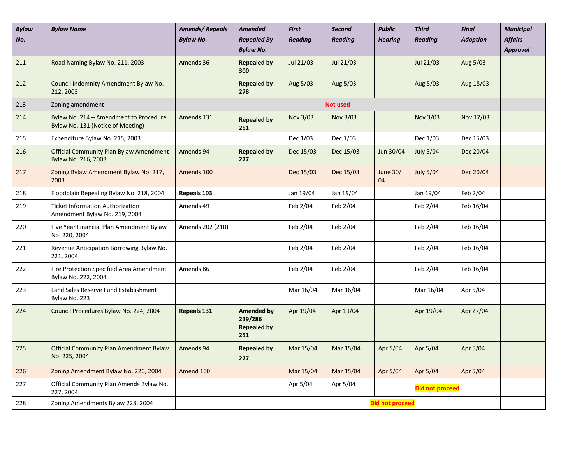| <b>Bylaw</b><br>No. | <b>Bylaw Name</b>                                                           | <b>Amends/Repeals</b><br><b>Bylaw No.</b> | <b>Amended</b><br><b>Repealed By</b><br><b>Bylaw No.</b>  | <b>First</b><br><b>Reading</b> | <b>Second</b><br><b>Reading</b> | <b>Public</b><br><b>Hearing</b> | <b>Third</b><br><b>Reading</b> | <b>Final</b><br><b>Adoption</b> | <b>Municipal</b><br><b>Affairs</b><br><b>Approval</b> |
|---------------------|-----------------------------------------------------------------------------|-------------------------------------------|-----------------------------------------------------------|--------------------------------|---------------------------------|---------------------------------|--------------------------------|---------------------------------|-------------------------------------------------------|
| 211                 | Road Naming Bylaw No. 211, 2003                                             | Amends 36                                 | <b>Repealed by</b><br>300                                 | Jul 21/03                      | Jul 21/03                       |                                 | Jul 21/03                      | Aug 5/03                        |                                                       |
| 212                 | Council Indemnity Amendment Bylaw No.<br>212, 2003                          |                                           | <b>Repealed by</b><br>278                                 | Aug 5/03                       | Aug 5/03                        |                                 | Aug 5/03                       | Aug 18/03                       |                                                       |
| 213                 | Zoning amendment                                                            |                                           |                                                           |                                | <b>Not used</b>                 |                                 |                                |                                 |                                                       |
| 214                 | Bylaw No. 214 - Amendment to Procedure<br>Bylaw No. 131 (Notice of Meeting) | Amends 131                                | <b>Repealed by</b><br>251                                 | Nov 3/03                       | Nov 3/03                        |                                 | Nov 3/03                       | Nov 17/03                       |                                                       |
| 215                 | Expenditure Bylaw No. 215, 2003                                             |                                           |                                                           | Dec 1/03                       | Dec 1/03                        |                                 | Dec 1/03                       | Dec 15/03                       |                                                       |
| 216                 | <b>Official Community Plan Bylaw Amendment</b><br>Bylaw No. 216, 2003       | Amends 94                                 | <b>Repealed by</b><br>277                                 | Dec 15/03                      | Dec 15/03                       | Jun 30/04                       | <b>July 5/04</b>               | Dec 20/04                       |                                                       |
| 217                 | Zoning Bylaw Amendment Bylaw No. 217,<br>2003                               | Amends 100                                |                                                           | Dec 15/03                      | Dec 15/03                       | June 30/<br>04                  | <b>July 5/04</b>               | Dec 20/04                       |                                                       |
| 218                 | Floodplain Repealing Bylaw No. 218, 2004                                    | Repeals 103                               |                                                           | Jan 19/04                      | Jan 19/04                       |                                 | Jan 19/04                      | Feb 2/04                        |                                                       |
| 219                 | <b>Ticket Information Authorization</b><br>Amendment Bylaw No. 219, 2004    | Amends 49                                 |                                                           | Feb 2/04                       | Feb 2/04                        |                                 | Feb 2/04                       | Feb 16/04                       |                                                       |
| 220                 | Five Year Financial Plan Amendment Bylaw<br>No. 220, 2004                   | Amends 202 (210)                          |                                                           | Feb 2/04                       | Feb 2/04                        |                                 | Feb 2/04                       | Feb 16/04                       |                                                       |
| 221                 | Revenue Anticipation Borrowing Bylaw No.<br>221, 2004                       |                                           |                                                           | Feb 2/04                       | Feb 2/04                        |                                 | Feb 2/04                       | Feb 16/04                       |                                                       |
| 222                 | Fire Protection Specified Area Amendment<br>Bylaw No. 222, 2004             | Amends 86                                 |                                                           | Feb 2/04                       | Feb 2/04                        |                                 | Feb 2/04                       | Feb 16/04                       |                                                       |
| 223                 | Land Sales Reserve Fund Establishment<br>Bylaw No. 223                      |                                           |                                                           | Mar 16/04                      | Mar 16/04                       |                                 | Mar 16/04                      | Apr 5/04                        |                                                       |
| 224                 | Council Procedures Bylaw No. 224, 2004                                      | Repeals 131                               | <b>Amended by</b><br>239/286<br><b>Repealed by</b><br>251 | Apr 19/04                      | Apr 19/04                       |                                 | Apr 19/04                      | Apr 27/04                       |                                                       |
| 225                 | <b>Official Community Plan Amendment Bylaw</b><br>No. 225, 2004             | Amends 94                                 | <b>Repealed by</b><br>277                                 | Mar 15/04                      | Mar 15/04                       | Apr 5/04                        | Apr 5/04                       | Apr 5/04                        |                                                       |
| 226                 | Zoning Amendment Bylaw No. 226, 2004                                        | Amend 100                                 |                                                           | Mar 15/04                      | Mar 15/04                       | Apr 5/04                        | Apr 5/04                       | Apr 5/04                        |                                                       |
| 227                 | Official Community Plan Amends Bylaw No.<br>227, 2004                       |                                           |                                                           | Apr 5/04                       | Apr 5/04                        |                                 | <b>Did not proceed</b>         |                                 |                                                       |
| 228                 | Zoning Amendments Bylaw 228, 2004                                           |                                           |                                                           |                                |                                 | <b>Did not proceed</b>          |                                |                                 |                                                       |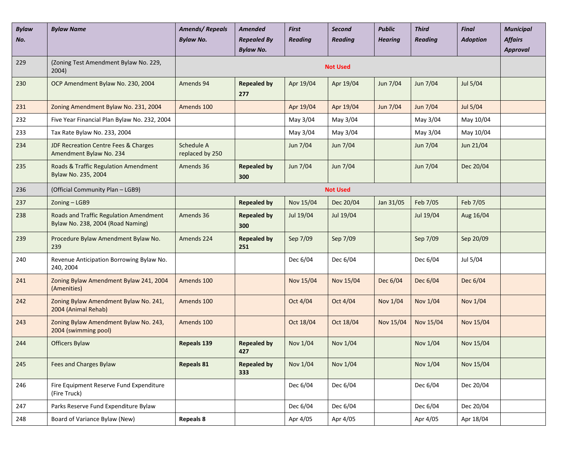| <b>Bylaw</b><br>No. | <b>Bylaw Name</b>                                                           | <b>Amends/Repeals</b><br><b>Bylaw No.</b> | <b>Amended</b><br><b>Repealed By</b><br><b>Bylaw No.</b> | <b>First</b><br><b>Reading</b> | Second<br><b>Reading</b> | <b>Public</b><br><b>Hearing</b> | <b>Third</b><br><b>Reading</b> | <b>Final</b><br><b>Adoption</b> | <b>Municipal</b><br><b>Affairs</b><br>Approval |
|---------------------|-----------------------------------------------------------------------------|-------------------------------------------|----------------------------------------------------------|--------------------------------|--------------------------|---------------------------------|--------------------------------|---------------------------------|------------------------------------------------|
| 229                 | (Zoning Test Amendment Bylaw No. 229,<br>2004)                              |                                           |                                                          |                                | <b>Not Used</b>          |                                 |                                |                                 |                                                |
| 230                 | OCP Amendment Bylaw No. 230, 2004                                           | Amends 94                                 | <b>Repealed by</b><br>277                                | Apr 19/04                      | Apr 19/04                | Jun 7/04                        | Jun 7/04                       | Jul 5/04                        |                                                |
| 231                 | Zoning Amendment Bylaw No. 231, 2004                                        | Amends 100                                |                                                          | Apr 19/04                      | Apr 19/04                | Jun 7/04                        | Jun 7/04                       | Jul 5/04                        |                                                |
| 232                 | Five Year Financial Plan Bylaw No. 232, 2004                                |                                           |                                                          | May 3/04                       | May 3/04                 |                                 | May 3/04                       | May 10/04                       |                                                |
| 233                 | Tax Rate Bylaw No. 233, 2004                                                |                                           |                                                          | May 3/04                       | May 3/04                 |                                 | May 3/04                       | May 10/04                       |                                                |
| 234                 | <b>JDF Recreation Centre Fees &amp; Charges</b><br>Amendment Bylaw No. 234  | Schedule A<br>replaced by 250             |                                                          | Jun 7/04                       | Jun 7/04                 |                                 | Jun 7/04                       | Jun 21/04                       |                                                |
| 235                 | Roads & Traffic Regulation Amendment<br>Bylaw No. 235, 2004                 | Amends 36                                 | <b>Repealed by</b><br>300                                | Jun 7/04                       | Jun 7/04                 |                                 | Jun 7/04                       | Dec 20/04                       |                                                |
| 236                 | (Official Community Plan - LGB9)                                            |                                           |                                                          |                                | <b>Not Used</b>          |                                 |                                |                                 |                                                |
| 237                 | Zoning - LGB9                                                               |                                           | <b>Repealed by</b>                                       | Nov 15/04                      | Dec 20/04                | Jan 31/05                       | Feb 7/05                       | Feb 7/05                        |                                                |
| 238                 | Roads and Traffic Regulation Amendment<br>Bylaw No. 238, 2004 (Road Naming) | Amends 36                                 | <b>Repealed by</b><br>300                                | Jul 19/04                      | Jul 19/04                |                                 | Jul 19/04                      | Aug 16/04                       |                                                |
| 239                 | Procedure Bylaw Amendment Bylaw No.<br>239                                  | Amends 224                                | <b>Repealed by</b><br>251                                | Sep 7/09                       | Sep 7/09                 |                                 | Sep 7/09                       | Sep 20/09                       |                                                |
| 240                 | Revenue Anticipation Borrowing Bylaw No.<br>240, 2004                       |                                           |                                                          | Dec 6/04                       | Dec 6/04                 |                                 | Dec 6/04                       | Jul 5/04                        |                                                |
| 241                 | Zoning Bylaw Amendment Bylaw 241, 2004<br>(Amenities)                       | Amends 100                                |                                                          | Nov 15/04                      | Nov 15/04                | Dec 6/04                        | Dec 6/04                       | Dec 6/04                        |                                                |
| 242                 | Zoning Bylaw Amendment Bylaw No. 241,<br>2004 (Animal Rehab)                | Amends 100                                |                                                          | Oct 4/04                       | Oct 4/04                 | Nov 1/04                        | Nov 1/04                       | Nov 1/04                        |                                                |
| 243                 | Zoning Bylaw Amendment Bylaw No. 243,<br>2004 (swimming pool)               | Amends 100                                |                                                          | Oct 18/04                      | Oct 18/04                | Nov 15/04                       | Nov 15/04                      | Nov 15/04                       |                                                |
| 244                 | <b>Officers Bylaw</b>                                                       | Repeals 139                               | <b>Repealed by</b><br>427                                | Nov 1/04                       | Nov 1/04                 |                                 | Nov 1/04                       | Nov 15/04                       |                                                |
| 245                 | Fees and Charges Bylaw                                                      | <b>Repeals 81</b>                         | <b>Repealed by</b><br>333                                | Nov 1/04                       | Nov 1/04                 |                                 | Nov 1/04                       | Nov 15/04                       |                                                |
| 246                 | Fire Equipment Reserve Fund Expenditure<br>(Fire Truck)                     |                                           |                                                          | Dec 6/04                       | Dec 6/04                 |                                 | Dec 6/04                       | Dec 20/04                       |                                                |
| 247                 | Parks Reserve Fund Expenditure Bylaw                                        |                                           |                                                          | Dec 6/04                       | Dec 6/04                 |                                 | Dec 6/04                       | Dec 20/04                       |                                                |
| 248                 | Board of Variance Bylaw (New)                                               | <b>Repeals 8</b>                          |                                                          | Apr 4/05                       | Apr 4/05                 |                                 | Apr 4/05                       | Apr 18/04                       |                                                |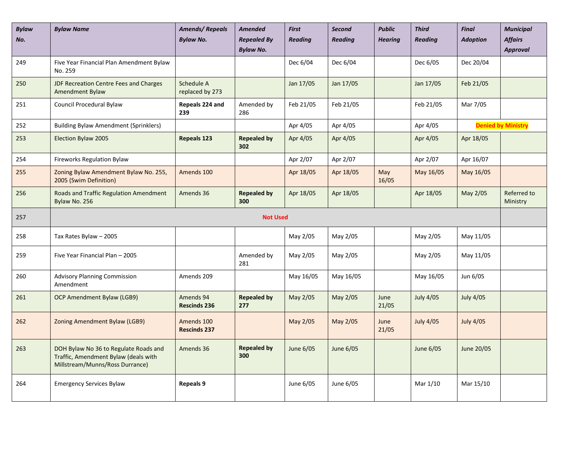| <b>Bylaw</b><br>No. | <b>Bylaw Name</b>                                                                                                | <b>Amends/Repeals</b><br><b>Bylaw No.</b> | <b>Amended</b><br><b>Repealed By</b><br><b>Bylaw No.</b> | <b>First</b><br><b>Reading</b> | <b>Second</b><br><b>Reading</b> | <b>Public</b><br><b>Hearing</b> | <b>Third</b><br><b>Reading</b> | <b>Final</b><br><b>Adoption</b> | <b>Municipal</b><br><b>Affairs</b><br><b>Approval</b> |
|---------------------|------------------------------------------------------------------------------------------------------------------|-------------------------------------------|----------------------------------------------------------|--------------------------------|---------------------------------|---------------------------------|--------------------------------|---------------------------------|-------------------------------------------------------|
| 249                 | Five Year Financial Plan Amendment Bylaw<br>No. 259                                                              |                                           |                                                          | Dec 6/04                       | Dec 6/04                        |                                 | Dec 6/05                       | Dec 20/04                       |                                                       |
| 250                 | JDF Recreation Centre Fees and Charges<br><b>Amendment Bylaw</b>                                                 | Schedule A<br>replaced by 273             |                                                          | Jan 17/05                      | Jan 17/05                       |                                 | Jan 17/05                      | Feb 21/05                       |                                                       |
| 251                 | Council Procedural Bylaw                                                                                         | Repeals 224 and<br>239                    | Amended by<br>286                                        | Feb 21/05                      | Feb 21/05                       |                                 | Feb 21/05                      | Mar 7/05                        |                                                       |
| 252                 | <b>Building Bylaw Amendment (Sprinklers)</b>                                                                     |                                           |                                                          | Apr 4/05                       | Apr 4/05                        |                                 | Apr 4/05                       |                                 | <b>Denied by Ministry</b>                             |
| 253                 | Election Bylaw 2005                                                                                              | <b>Repeals 123</b>                        | <b>Repealed by</b><br>302                                | Apr 4/05                       | Apr 4/05                        |                                 | Apr 4/05                       | Apr 18/05                       |                                                       |
| 254                 | <b>Fireworks Regulation Bylaw</b>                                                                                |                                           |                                                          | Apr 2/07                       | Apr 2/07                        |                                 | Apr 2/07                       | Apr 16/07                       |                                                       |
| 255                 | Zoning Bylaw Amendment Bylaw No. 255,<br>2005 (Swim Definition)                                                  | Amends 100                                |                                                          | Apr 18/05                      | Apr 18/05                       | May<br>16/05                    | May 16/05                      | May 16/05                       |                                                       |
| 256                 | Roads and Traffic Regulation Amendment<br>Bylaw No. 256                                                          | Amends 36                                 | <b>Repealed by</b><br>300                                | Apr 18/05                      | Apr 18/05                       |                                 | Apr 18/05                      | May 2/05                        | Referred to<br>Ministry                               |
| 257                 |                                                                                                                  |                                           | <b>Not Used</b>                                          |                                |                                 |                                 |                                |                                 |                                                       |
| 258                 | Tax Rates Bylaw - 2005                                                                                           |                                           |                                                          | May 2/05                       | May 2/05                        |                                 | May 2/05                       | May 11/05                       |                                                       |
| 259                 | Five Year Financial Plan - 2005                                                                                  |                                           | Amended by<br>281                                        | May 2/05                       | May 2/05                        |                                 | May 2/05                       | May 11/05                       |                                                       |
| 260                 | <b>Advisory Planning Commission</b><br>Amendment                                                                 | Amends 209                                |                                                          | May 16/05                      | May 16/05                       |                                 | May 16/05                      | Jun 6/05                        |                                                       |
| 261                 | OCP Amendment Bylaw (LGB9)                                                                                       | Amends 94<br><b>Rescinds 236</b>          | <b>Repealed by</b><br>277                                | May 2/05                       | May 2/05                        | June<br>21/05                   | <b>July 4/05</b>               | <b>July 4/05</b>                |                                                       |
| 262                 | Zoning Amendment Bylaw (LGB9)                                                                                    | Amends 100<br><b>Rescinds 237</b>         |                                                          | May 2/05                       | May 2/05                        | June<br>21/05                   | <b>July 4/05</b>               | <b>July 4/05</b>                |                                                       |
| 263                 | DOH Bylaw No 36 to Regulate Roads and<br>Traffic, Amendment Bylaw (deals with<br>Millstream/Munns/Ross Durrance) | Amends 36                                 | <b>Repealed by</b><br>300                                | June 6/05                      | June 6/05                       |                                 | June 6/05                      | June 20/05                      |                                                       |
| 264                 | <b>Emergency Services Bylaw</b>                                                                                  | Repeals 9                                 |                                                          | June 6/05                      | June 6/05                       |                                 | Mar 1/10                       | Mar 15/10                       |                                                       |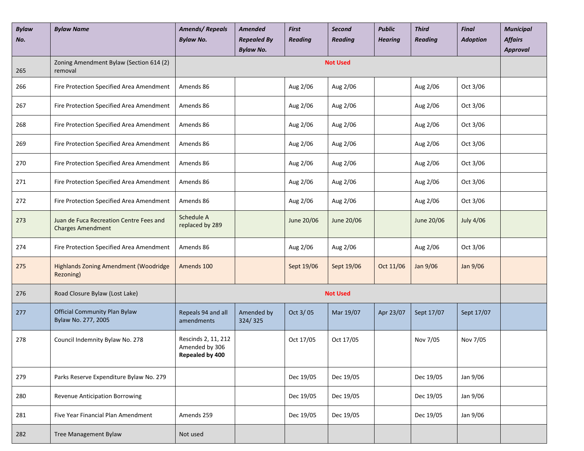| <b>Bylaw</b><br>No. | <b>Bylaw Name</b>                                                   | <b>Amends/Repeals</b><br><b>Bylaw No.</b>                | Amended<br><b>Repealed By</b><br><b>Bylaw No.</b> | <b>First</b><br><b>Reading</b> | Second<br><b>Reading</b> | <b>Public</b><br><b>Hearing</b> | <b>Third</b><br><b>Reading</b> | <b>Final</b><br><b>Adoption</b> | <b>Municipal</b><br><b>Affairs</b><br><b>Approval</b> |
|---------------------|---------------------------------------------------------------------|----------------------------------------------------------|---------------------------------------------------|--------------------------------|--------------------------|---------------------------------|--------------------------------|---------------------------------|-------------------------------------------------------|
| 265                 | Zoning Amendment Bylaw (Section 614 (2)<br>removal                  |                                                          |                                                   |                                | <b>Not Used</b>          |                                 |                                |                                 |                                                       |
| 266                 | Fire Protection Specified Area Amendment                            | Amends 86                                                |                                                   | Aug 2/06                       | Aug 2/06                 |                                 | Aug 2/06                       | Oct 3/06                        |                                                       |
| 267                 | Fire Protection Specified Area Amendment                            | Amends 86                                                |                                                   | Aug 2/06                       | Aug 2/06                 |                                 | Aug 2/06                       | Oct 3/06                        |                                                       |
| 268                 | Fire Protection Specified Area Amendment                            | Amends 86                                                |                                                   | Aug 2/06                       | Aug 2/06                 |                                 | Aug 2/06                       | Oct 3/06                        |                                                       |
| 269                 | Fire Protection Specified Area Amendment                            | Amends 86                                                |                                                   | Aug 2/06                       | Aug 2/06                 |                                 | Aug 2/06                       | Oct 3/06                        |                                                       |
| 270                 | Fire Protection Specified Area Amendment                            | Amends 86                                                |                                                   | Aug 2/06                       | Aug 2/06                 |                                 | Aug 2/06                       | Oct 3/06                        |                                                       |
| 271                 | Fire Protection Specified Area Amendment                            | Amends 86                                                |                                                   | Aug 2/06                       | Aug 2/06                 |                                 | Aug 2/06                       | Oct 3/06                        |                                                       |
| 272                 | Fire Protection Specified Area Amendment                            | Amends 86                                                |                                                   | Aug 2/06                       | Aug 2/06                 |                                 | Aug 2/06                       | Oct 3/06                        |                                                       |
| 273                 | Juan de Fuca Recreation Centre Fees and<br><b>Charges Amendment</b> | Schedule A<br>replaced by 289                            |                                                   | June 20/06                     | June 20/06               |                                 | June 20/06                     | <b>July 4/06</b>                |                                                       |
| 274                 | Fire Protection Specified Area Amendment                            | Amends 86                                                |                                                   | Aug 2/06                       | Aug 2/06                 |                                 | Aug 2/06                       | Oct 3/06                        |                                                       |
| 275                 | <b>Highlands Zoning Amendment (Woodridge</b><br>Rezoning)           | Amends 100                                               |                                                   | Sept 19/06                     | Sept 19/06               | Oct 11/06                       | Jan 9/06                       | Jan 9/06                        |                                                       |
| 276                 | Road Closure Bylaw (Lost Lake)                                      |                                                          |                                                   |                                | <b>Not Used</b>          |                                 |                                |                                 |                                                       |
| 277                 | <b>Official Community Plan Bylaw</b><br>Bylaw No. 277, 2005         | Repeals 94 and all<br>amendments                         | Amended by<br>324/325                             | Oct 3/05                       | Mar 19/07                | Apr 23/07                       | Sept 17/07                     | Sept 17/07                      |                                                       |
| 278                 | Council Indemnity Bylaw No. 278                                     | Rescinds 2, 11, 212<br>Amended by 306<br>Repealed by 400 |                                                   | Oct 17/05                      | Oct 17/05                |                                 | Nov 7/05                       | Nov 7/05                        |                                                       |
| 279                 | Parks Reserve Expenditure Bylaw No. 279                             |                                                          |                                                   | Dec 19/05                      | Dec 19/05                |                                 | Dec 19/05                      | Jan 9/06                        |                                                       |
| 280                 | <b>Revenue Anticipation Borrowing</b>                               |                                                          |                                                   | Dec 19/05                      | Dec 19/05                |                                 | Dec 19/05                      | Jan 9/06                        |                                                       |
| 281                 | Five Year Financial Plan Amendment                                  | Amends 259                                               |                                                   | Dec 19/05                      | Dec 19/05                |                                 | Dec 19/05                      | Jan 9/06                        |                                                       |
| 282                 | Tree Management Bylaw                                               | Not used                                                 |                                                   |                                |                          |                                 |                                |                                 |                                                       |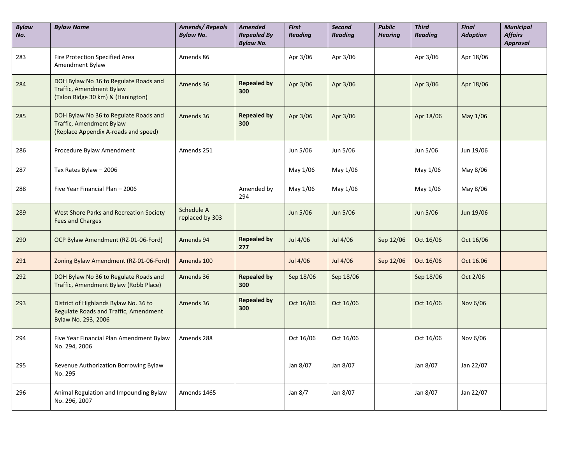| <b>Bylaw</b><br>No. | <b>Bylaw Name</b>                                                                                         | <b>Amends/Repeals</b><br><b>Bylaw No.</b> | <b>Amended</b><br><b>Repealed By</b><br><b>Bylaw No.</b> | <b>First</b><br><b>Reading</b> | Second<br><b>Reading</b> | <b>Public</b><br><b>Hearing</b> | <b>Third</b><br><b>Reading</b> | <b>Final</b><br><b>Adoption</b> | <b>Municipal</b><br><b>Affairs</b><br><b>Approval</b> |
|---------------------|-----------------------------------------------------------------------------------------------------------|-------------------------------------------|----------------------------------------------------------|--------------------------------|--------------------------|---------------------------------|--------------------------------|---------------------------------|-------------------------------------------------------|
| 283                 | Fire Protection Specified Area<br>Amendment Bylaw                                                         | Amends 86                                 |                                                          | Apr 3/06                       | Apr 3/06                 |                                 | Apr 3/06                       | Apr 18/06                       |                                                       |
| 284                 | DOH Bylaw No 36 to Regulate Roads and<br>Traffic, Amendment Bylaw<br>(Talon Ridge 30 km) & (Hanington)    | Amends 36                                 | <b>Repealed by</b><br>300                                | Apr 3/06                       | Apr 3/06                 |                                 | Apr 3/06                       | Apr 18/06                       |                                                       |
| 285                 | DOH Bylaw No 36 to Regulate Roads and<br>Traffic, Amendment Bylaw<br>(Replace Appendix A-roads and speed) | Amends 36                                 | <b>Repealed by</b><br>300                                | Apr 3/06                       | Apr 3/06                 |                                 | Apr 18/06                      | May 1/06                        |                                                       |
| 286                 | Procedure Bylaw Amendment                                                                                 | Amends 251                                |                                                          | Jun 5/06                       | Jun 5/06                 |                                 | Jun 5/06                       | Jun 19/06                       |                                                       |
| 287                 | Tax Rates Bylaw - 2006                                                                                    |                                           |                                                          | May 1/06                       | May 1/06                 |                                 | May 1/06                       | May 8/06                        |                                                       |
| 288                 | Five Year Financial Plan - 2006                                                                           |                                           | Amended by<br>294                                        | May 1/06                       | May 1/06                 |                                 | May 1/06                       | May 8/06                        |                                                       |
| 289                 | West Shore Parks and Recreation Society<br><b>Fees and Charges</b>                                        | Schedule A<br>replaced by 303             |                                                          | Jun 5/06                       | Jun 5/06                 |                                 | Jun 5/06                       | Jun 19/06                       |                                                       |
| 290                 | OCP Bylaw Amendment (RZ-01-06-Ford)                                                                       | Amends 94                                 | <b>Repealed by</b><br>277                                | Jul 4/06                       | Jul 4/06                 | Sep 12/06                       | Oct 16/06                      | Oct 16/06                       |                                                       |
| 291                 | Zoning Bylaw Amendment (RZ-01-06-Ford)                                                                    | Amends 100                                |                                                          | Jul 4/06                       | Jul 4/06                 | Sep 12/06                       | Oct 16/06                      | Oct 16.06                       |                                                       |
| 292                 | DOH Bylaw No 36 to Regulate Roads and<br>Traffic, Amendment Bylaw (Robb Place)                            | Amends 36                                 | <b>Repealed by</b><br>300                                | Sep 18/06                      | Sep 18/06                |                                 | Sep 18/06                      | Oct 2/06                        |                                                       |
| 293                 | District of Highlands Bylaw No. 36 to<br>Regulate Roads and Traffic, Amendment<br>Bylaw No. 293, 2006     | Amends 36                                 | <b>Repealed by</b><br>300                                | Oct 16/06                      | Oct 16/06                |                                 | Oct 16/06                      | Nov 6/06                        |                                                       |
| 294                 | Five Year Financial Plan Amendment Bylaw<br>No. 294, 2006                                                 | Amends 288                                |                                                          | Oct 16/06                      | Oct 16/06                |                                 | Oct 16/06                      | Nov 6/06                        |                                                       |
| 295                 | Revenue Authorization Borrowing Bylaw<br>No. 295                                                          |                                           |                                                          | Jan 8/07                       | Jan 8/07                 |                                 | Jan 8/07                       | Jan 22/07                       |                                                       |
| 296                 | Animal Regulation and Impounding Bylaw<br>No. 296, 2007                                                   | Amends 1465                               |                                                          | Jan 8/7                        | Jan 8/07                 |                                 | Jan 8/07                       | Jan 22/07                       |                                                       |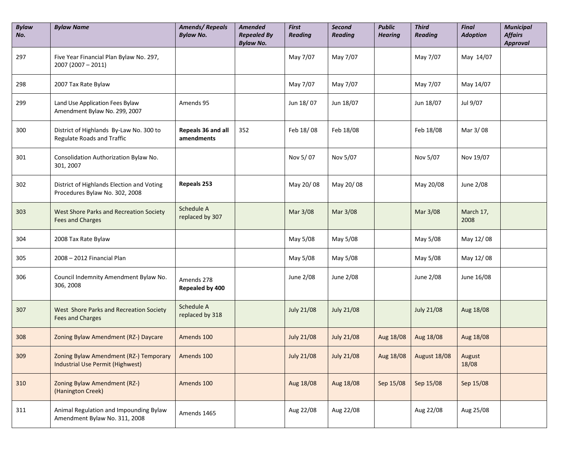| <b>Bylaw</b><br>No. | <b>Bylaw Name</b>                                                           | <b>Amends/Repeals</b><br><b>Bylaw No.</b> | <b>Amended</b><br><b>Repealed By</b><br><b>Bylaw No.</b> | <b>First</b><br><b>Reading</b> | Second<br><b>Reading</b> | <b>Public</b><br><b>Hearing</b> | <b>Third</b><br><b>Reading</b> | <b>Final</b><br><b>Adoption</b> | <b>Municipal</b><br><b>Affairs</b><br><b>Approval</b> |
|---------------------|-----------------------------------------------------------------------------|-------------------------------------------|----------------------------------------------------------|--------------------------------|--------------------------|---------------------------------|--------------------------------|---------------------------------|-------------------------------------------------------|
| 297                 | Five Year Financial Plan Bylaw No. 297,<br>$2007(2007 - 2011)$              |                                           |                                                          | May 7/07                       | May 7/07                 |                                 | May 7/07                       | May 14/07                       |                                                       |
| 298                 | 2007 Tax Rate Bylaw                                                         |                                           |                                                          | May 7/07                       | May 7/07                 |                                 | May 7/07                       | May 14/07                       |                                                       |
| 299                 | Land Use Application Fees Bylaw<br>Amendment Bylaw No. 299, 2007            | Amends 95                                 |                                                          | Jun 18/07                      | Jun 18/07                |                                 | Jun 18/07                      | Jul 9/07                        |                                                       |
| 300                 | District of Highlands By-Law No. 300 to<br>Regulate Roads and Traffic       | Repeals 36 and all<br>amendments          | 352                                                      | Feb 18/08                      | Feb 18/08                |                                 | Feb 18/08                      | Mar 3/08                        |                                                       |
| 301                 | Consolidation Authorization Bylaw No.<br>301, 2007                          |                                           |                                                          | Nov 5/07                       | Nov 5/07                 |                                 | Nov 5/07                       | Nov 19/07                       |                                                       |
| 302                 | District of Highlands Election and Voting<br>Procedures Bylaw No. 302, 2008 | Repeals 253                               |                                                          | May 20/08                      | May 20/08                |                                 | May 20/08                      | June 2/08                       |                                                       |
| 303                 | West Shore Parks and Recreation Society<br><b>Fees and Charges</b>          | Schedule A<br>replaced by 307             |                                                          | Mar 3/08                       | Mar 3/08                 |                                 | Mar 3/08                       | March 17,<br>2008               |                                                       |
| 304                 | 2008 Tax Rate Bylaw                                                         |                                           |                                                          | May 5/08                       | May 5/08                 |                                 | May 5/08                       | May 12/08                       |                                                       |
| 305                 | 2008 - 2012 Financial Plan                                                  |                                           |                                                          | May 5/08                       | May 5/08                 |                                 | May 5/08                       | May 12/08                       |                                                       |
| 306                 | Council Indemnity Amendment Bylaw No.<br>306, 2008                          | Amends 278<br>Repealed by 400             |                                                          | June 2/08                      | June 2/08                |                                 | June 2/08                      | June 16/08                      |                                                       |
| 307                 | West Shore Parks and Recreation Society<br><b>Fees and Charges</b>          | Schedule A<br>replaced by 318             |                                                          | <b>July 21/08</b>              | <b>July 21/08</b>        |                                 | <b>July 21/08</b>              | Aug 18/08                       |                                                       |
| 308                 | Zoning Bylaw Amendment (RZ-) Daycare                                        | Amends 100                                |                                                          | <b>July 21/08</b>              | <b>July 21/08</b>        | Aug 18/08                       | Aug 18/08                      | Aug 18/08                       |                                                       |
| 309                 | Zoning Bylaw Amendment (RZ-) Temporary<br>Industrial Use Permit (Highwest)  | Amends 100                                |                                                          | <b>July 21/08</b>              | <b>July 21/08</b>        | Aug 18/08                       | <b>August 18/08</b>            | August<br>18/08                 |                                                       |
| 310                 | Zoning Bylaw Amendment (RZ-)<br>(Hanington Creek)                           | Amends 100                                |                                                          | Aug 18/08                      | Aug 18/08                | Sep 15/08                       | Sep 15/08                      | Sep 15/08                       |                                                       |
| 311                 | Animal Regulation and Impounding Bylaw<br>Amendment Bylaw No. 311, 2008     | Amends 1465                               |                                                          | Aug 22/08                      | Aug 22/08                |                                 | Aug 22/08                      | Aug 25/08                       |                                                       |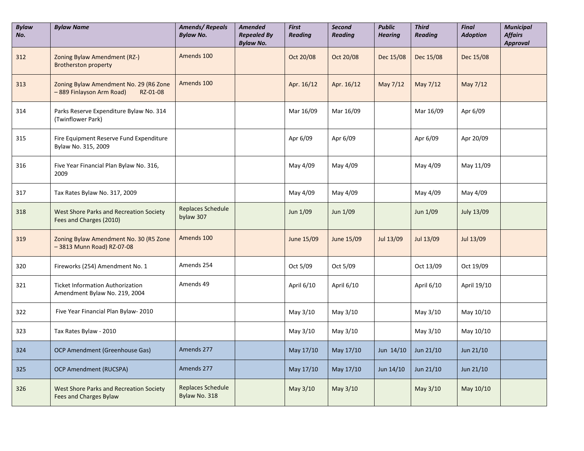| <b>Bylaw</b><br>No. | <b>Bylaw Name</b>                                                              | <b>Amends/Repeals</b><br><b>Bylaw No.</b> | <b>Amended</b><br><b>Repealed By</b><br><b>Bylaw No.</b> | <b>First</b><br><b>Reading</b> | <b>Second</b><br><b>Reading</b> | <b>Public</b><br><b>Hearing</b> | <b>Third</b><br><b>Reading</b> | <b>Final</b><br><b>Adoption</b> | <b>Municipal</b><br><b>Affairs</b><br><b>Approval</b> |
|---------------------|--------------------------------------------------------------------------------|-------------------------------------------|----------------------------------------------------------|--------------------------------|---------------------------------|---------------------------------|--------------------------------|---------------------------------|-------------------------------------------------------|
| 312                 | Zoning Bylaw Amendment (RZ-)<br><b>Brotherston property</b>                    | Amends 100                                |                                                          | Oct 20/08                      | Oct 20/08                       | Dec 15/08                       | Dec 15/08                      | Dec 15/08                       |                                                       |
| 313                 | Zoning Bylaw Amendment No. 29 (R6 Zone<br>-889 Finlayson Arm Road)<br>RZ-01-08 | Amends 100                                |                                                          | Apr. 16/12                     | Apr. 16/12                      | May 7/12                        | May 7/12                       | May 7/12                        |                                                       |
| 314                 | Parks Reserve Expenditure Bylaw No. 314<br>(Twinflower Park)                   |                                           |                                                          | Mar 16/09                      | Mar 16/09                       |                                 | Mar 16/09                      | Apr 6/09                        |                                                       |
| 315                 | Fire Equipment Reserve Fund Expenditure<br>Bylaw No. 315, 2009                 |                                           |                                                          | Apr 6/09                       | Apr 6/09                        |                                 | Apr 6/09                       | Apr 20/09                       |                                                       |
| 316                 | Five Year Financial Plan Bylaw No. 316,<br>2009                                |                                           |                                                          | May 4/09                       | May 4/09                        |                                 | May 4/09                       | May 11/09                       |                                                       |
| 317                 | Tax Rates Bylaw No. 317, 2009                                                  |                                           |                                                          | May 4/09                       | May 4/09                        |                                 | May 4/09                       | May 4/09                        |                                                       |
| 318                 | <b>West Shore Parks and Recreation Society</b><br>Fees and Charges (2010)      | <b>Replaces Schedule</b><br>bylaw 307     |                                                          | Jun 1/09                       | Jun 1/09                        |                                 | Jun 1/09                       | July 13/09                      |                                                       |
| 319                 | Zoning Bylaw Amendment No. 30 (R5 Zone<br>-3813 Munn Road) RZ-07-08            | Amends 100                                |                                                          | June 15/09                     | June 15/09                      | Jul 13/09                       | Jul 13/09                      | Jul 13/09                       |                                                       |
| 320                 | Fireworks (254) Amendment No. 1                                                | Amends 254                                |                                                          | Oct 5/09                       | Oct 5/09                        |                                 | Oct 13/09                      | Oct 19/09                       |                                                       |
| 321                 | <b>Ticket Information Authorization</b><br>Amendment Bylaw No. 219, 2004       | Amends 49                                 |                                                          | April 6/10                     | April 6/10                      |                                 | April 6/10                     | April 19/10                     |                                                       |
| 322                 | Five Year Financial Plan Bylaw-2010                                            |                                           |                                                          | May 3/10                       | May 3/10                        |                                 | May 3/10                       | May 10/10                       |                                                       |
| 323                 | Tax Rates Bylaw - 2010                                                         |                                           |                                                          | May 3/10                       | May 3/10                        |                                 | May 3/10                       | May 10/10                       |                                                       |
| 324                 | OCP Amendment (Greenhouse Gas)                                                 | Amends 277                                |                                                          | May 17/10                      | May 17/10                       | Jun $14/10$                     | Jun 21/10                      | Jun $21/10$                     |                                                       |
| 325                 | <b>OCP Amendment (RUCSPA)</b>                                                  | Amends 277                                |                                                          | May 17/10                      | May 17/10                       | Jun $14/10$                     | Jun 21/10                      | Jun $21/10$                     |                                                       |
| 326                 | West Shore Parks and Recreation Society<br><b>Fees and Charges Bylaw</b>       | <b>Replaces Schedule</b><br>Bylaw No. 318 |                                                          | May 3/10                       | May 3/10                        |                                 | May 3/10                       | May 10/10                       |                                                       |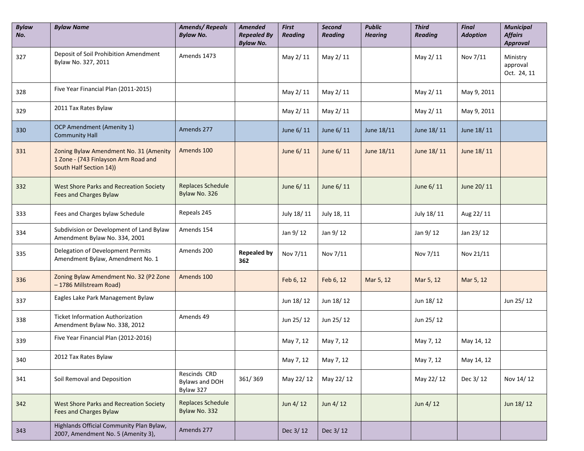| <b>Bylaw</b><br>No. | <b>Bylaw Name</b>                                                                                         | <b>Amends/Repeals</b><br><b>Bylaw No.</b>   | <b>Amended</b><br><b>Repealed By</b><br><b>Bylaw No.</b> | <b>First</b><br><b>Reading</b> | <b>Second</b><br><b>Reading</b> | <b>Public</b><br><b>Hearing</b> | <b>Third</b><br><b>Reading</b> | <b>Final</b><br><b>Adoption</b> | <b>Municipal</b><br><b>Affairs</b><br><b>Approval</b> |
|---------------------|-----------------------------------------------------------------------------------------------------------|---------------------------------------------|----------------------------------------------------------|--------------------------------|---------------------------------|---------------------------------|--------------------------------|---------------------------------|-------------------------------------------------------|
| 327                 | Deposit of Soil Prohibition Amendment<br>Bylaw No. 327, 2011                                              | Amends 1473                                 |                                                          | May 2/11                       | May 2/11                        |                                 | May 2/11                       | Nov 7/11                        | Ministry<br>approval<br>Oct. 24, 11                   |
| 328                 | Five Year Financial Plan (2011-2015)                                                                      |                                             |                                                          | May 2/11                       | May 2/11                        |                                 | May 2/11                       | May 9, 2011                     |                                                       |
| 329                 | 2011 Tax Rates Bylaw                                                                                      |                                             |                                                          | May 2/11                       | May 2/11                        |                                 | May 2/11                       | May 9, 2011                     |                                                       |
| 330                 | OCP Amendment (Amenity 1)<br><b>Community Hall</b>                                                        | Amends 277                                  |                                                          | June 6/11                      | June 6/11                       | June 18/11                      | June 18/11                     | June 18/11                      |                                                       |
| 331                 | Zoning Bylaw Amendment No. 31 (Amenity<br>1 Zone - (743 Finlayson Arm Road and<br>South Half Section 14)) | Amends 100                                  |                                                          | June 6/11                      | June 6/11                       | June 18/11                      | June 18/11                     | June 18/11                      |                                                       |
| 332                 | West Shore Parks and Recreation Society<br><b>Fees and Charges Bylaw</b>                                  | Replaces Schedule<br>Bylaw No. 326          |                                                          | June 6/11                      | June 6/11                       |                                 | June 6/11                      | June 20/11                      |                                                       |
| 333                 | Fees and Charges bylaw Schedule                                                                           | Repeals 245                                 |                                                          | July 18/11                     | July 18, 11                     |                                 | July 18/11                     | Aug 22/11                       |                                                       |
| 334                 | Subdivision or Development of Land Bylaw<br>Amendment Bylaw No. 334, 2001                                 | Amends 154                                  |                                                          | Jan 9/12                       | Jan 9/12                        |                                 | Jan 9/12                       | Jan 23/12                       |                                                       |
| 335                 | Delegation of Development Permits<br>Amendment Bylaw, Amendment No. 1                                     | Amends 200                                  | <b>Repealed by</b><br>362                                | Nov 7/11                       | Nov 7/11                        |                                 | Nov 7/11                       | Nov 21/11                       |                                                       |
| 336                 | Zoning Bylaw Amendment No. 32 (P2 Zone<br>- 1786 Millstream Road)                                         | Amends 100                                  |                                                          | Feb 6, 12                      | Feb 6, 12                       | Mar 5, 12                       | Mar 5, 12                      | Mar 5, 12                       |                                                       |
| 337                 | Eagles Lake Park Management Bylaw                                                                         |                                             |                                                          | Jun 18/12                      | Jun 18/12                       |                                 | Jun 18/12                      |                                 | Jun 25/12                                             |
| 338                 | <b>Ticket Information Authorization</b><br>Amendment Bylaw No. 338, 2012                                  | Amends 49                                   |                                                          | Jun 25/12                      | Jun 25/12                       |                                 | Jun 25/12                      |                                 |                                                       |
| 339                 | Five Year Financial Plan (2012-2016)                                                                      |                                             |                                                          | May 7, 12                      | May 7, 12                       |                                 | May 7, 12                      | May 14, 12                      |                                                       |
| 340                 | 2012 Tax Rates Bylaw                                                                                      |                                             |                                                          | May 7, 12                      | May 7, 12                       |                                 | May 7, 12                      | May 14, 12                      |                                                       |
| 341                 | Soil Removal and Deposition                                                                               | Rescinds CRD<br>Bylaws and DOH<br>Bylaw 327 | 361/369                                                  | May 22/12                      | May 22/12                       |                                 | May 22/12                      | Dec 3/12                        | Nov 14/12                                             |
| 342                 | West Shore Parks and Recreation Society<br><b>Fees and Charges Bylaw</b>                                  | <b>Replaces Schedule</b><br>Bylaw No. 332   |                                                          | Jun 4/12                       | Jun 4/12                        |                                 | Jun 4/12                       |                                 | Jun 18/12                                             |
| 343                 | Highlands Official Community Plan Bylaw,<br>2007, Amendment No. 5 (Amenity 3),                            | Amends 277                                  |                                                          | Dec 3/12                       | Dec 3/12                        |                                 |                                |                                 |                                                       |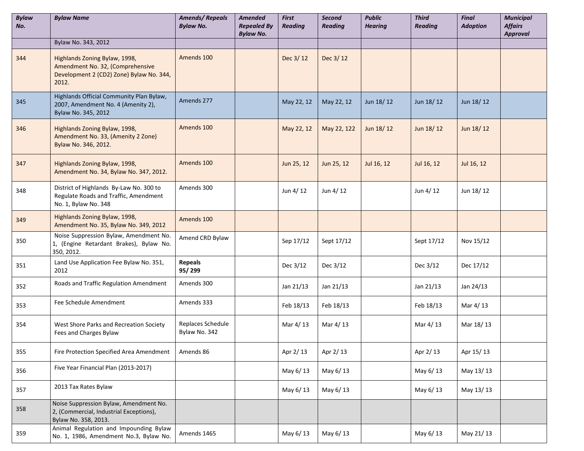| <b>Bylaw</b><br>No. | <b>Bylaw Name</b>                                                                                                      | <b>Amends/Repeals</b><br><b>Bylaw No.</b> | Amended<br><b>Repealed By</b><br><b>Bylaw No.</b> | <b>First</b><br><b>Reading</b> | Second<br><b>Reading</b> | <b>Public</b><br><b>Hearing</b> | <b>Third</b><br><b>Reading</b> | <b>Final</b><br><b>Adoption</b> | <b>Municipal</b><br><b>Affairs</b><br><b>Approval</b> |
|---------------------|------------------------------------------------------------------------------------------------------------------------|-------------------------------------------|---------------------------------------------------|--------------------------------|--------------------------|---------------------------------|--------------------------------|---------------------------------|-------------------------------------------------------|
|                     | Bylaw No. 343, 2012                                                                                                    |                                           |                                                   |                                |                          |                                 |                                |                                 |                                                       |
| 344                 | Highlands Zoning Bylaw, 1998,<br>Amendment No. 32, (Comprehensive<br>Development 2 (CD2) Zone) Bylaw No. 344,<br>2012. | Amends 100                                |                                                   | Dec 3/12                       | Dec 3/12                 |                                 |                                |                                 |                                                       |
| 345                 | Highlands Official Community Plan Bylaw,<br>2007, Amendment No. 4 (Amenity 2),<br>Bylaw No. 345, 2012                  | Amends 277                                |                                                   | May 22, 12                     | May 22, 12               | Jun 18/12                       | Jun 18/12                      | Jun 18/12                       |                                                       |
| 346                 | Highlands Zoning Bylaw, 1998,<br>Amendment No. 33, (Amenity 2 Zone)<br>Bylaw No. 346, 2012.                            | Amends 100                                |                                                   | May 22, 12                     | May 22, 122              | Jun 18/12                       | Jun 18/12                      | Jun 18/12                       |                                                       |
| 347                 | Highlands Zoning Bylaw, 1998,<br>Amendment No. 34, Bylaw No. 347, 2012.                                                | Amends 100                                |                                                   | Jun 25, 12                     | Jun 25, 12               | Jul 16, 12                      | Jul 16, 12                     | Jul 16, 12                      |                                                       |
| 348                 | District of Highlands By-Law No. 300 to<br>Regulate Roads and Traffic, Amendment<br>No. 1, Bylaw No. 348               | Amends 300                                |                                                   | Jun 4/12                       | Jun 4/12                 |                                 | Jun 4/12                       | Jun 18/12                       |                                                       |
| 349                 | Highlands Zoning Bylaw, 1998,<br>Amendment No. 35, Bylaw No. 349, 2012                                                 | Amends 100                                |                                                   |                                |                          |                                 |                                |                                 |                                                       |
| 350                 | Noise Suppression Bylaw, Amendment No.<br>1, (Engine Retardant Brakes), Bylaw No.<br>350, 2012.                        | Amend CRD Bylaw                           |                                                   | Sep 17/12                      | Sept 17/12               |                                 | Sept 17/12                     | Nov 15/12                       |                                                       |
| 351                 | Land Use Application Fee Bylaw No. 351,<br>2012                                                                        | <b>Repeals</b><br>95/299                  |                                                   | Dec 3/12                       | Dec 3/12                 |                                 | Dec 3/12                       | Dec 17/12                       |                                                       |
| 352                 | Roads and Traffic Regulation Amendment                                                                                 | Amends 300                                |                                                   | Jan 21/13                      | Jan 21/13                |                                 | Jan 21/13                      | Jan 24/13                       |                                                       |
| 353                 | Fee Schedule Amendment                                                                                                 | Amends 333                                |                                                   | Feb 18/13                      | Feb 18/13                |                                 | Feb 18/13                      | Mar 4/13                        |                                                       |
| 354                 | West Shore Parks and Recreation Society<br>Fees and Charges Bylaw                                                      | Replaces Schedule<br>Bylaw No. 342        |                                                   | Mar 4/13                       | Mar 4/13                 |                                 | Mar 4/13                       | Mar 18/13                       |                                                       |
| 355                 | Fire Protection Specified Area Amendment                                                                               | Amends 86                                 |                                                   | Apr 2/13                       | Apr 2/13                 |                                 | Apr 2/13                       | Apr 15/13                       |                                                       |
| 356                 | Five Year Financial Plan (2013-2017)                                                                                   |                                           |                                                   | May 6/13                       | May 6/13                 |                                 | May 6/13                       | May 13/13                       |                                                       |
| 357                 | 2013 Tax Rates Bylaw                                                                                                   |                                           |                                                   | May 6/13                       | May 6/13                 |                                 | May 6/13                       | May 13/13                       |                                                       |
| 358                 | Noise Suppression Bylaw, Amendment No.<br>2, (Commercial, Industrial Exceptions),<br>Bylaw No. 358, 2013.              |                                           |                                                   |                                |                          |                                 |                                |                                 |                                                       |
| 359                 | Animal Regulation and Impounding Bylaw<br>No. 1, 1986, Amendment No.3, Bylaw No.                                       | Amends 1465                               |                                                   | May 6/13                       | May 6/13                 |                                 | May 6/13                       | May 21/13                       |                                                       |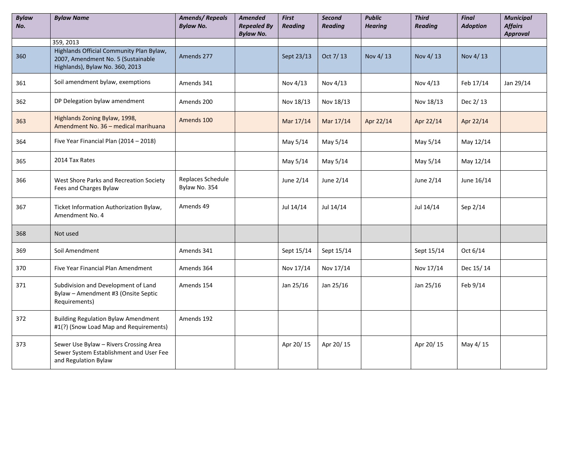| <b>Bylaw</b><br>No. | <b>Bylaw Name</b>                                                                                                 | <b>Amends/Repeals</b><br><b>Bylaw No.</b> | <b>Amended</b><br><b>Repealed By</b><br><b>Bylaw No.</b> | First<br><b>Reading</b> | Second<br><b>Reading</b> | <b>Public</b><br><b>Hearing</b> | <b>Third</b><br><b>Reading</b> | <b>Final</b><br><b>Adoption</b> | <b>Municipal</b><br><b>Affairs</b><br><b>Approval</b> |
|---------------------|-------------------------------------------------------------------------------------------------------------------|-------------------------------------------|----------------------------------------------------------|-------------------------|--------------------------|---------------------------------|--------------------------------|---------------------------------|-------------------------------------------------------|
|                     | 359, 2013                                                                                                         |                                           |                                                          |                         |                          |                                 |                                |                                 |                                                       |
| 360                 | Highlands Official Community Plan Bylaw,<br>2007, Amendment No. 5 (Sustainable<br>Highlands), Bylaw No. 360, 2013 | Amends 277                                |                                                          | Sept 23/13              | Oct 7/13                 | Nov 4/13                        | Nov 4/13                       | Nov 4/13                        |                                                       |
| 361                 | Soil amendment bylaw, exemptions                                                                                  | Amends 341                                |                                                          | Nov 4/13                | Nov 4/13                 |                                 | Nov 4/13                       | Feb 17/14                       | Jan 29/14                                             |
| 362                 | DP Delegation bylaw amendment                                                                                     | Amends 200                                |                                                          | Nov 18/13               | Nov 18/13                |                                 | Nov 18/13                      | Dec 2/13                        |                                                       |
| 363                 | Highlands Zoning Bylaw, 1998,<br>Amendment No. 36 - medical marihuana                                             | Amends 100                                |                                                          | Mar 17/14               | Mar 17/14                | Apr 22/14                       | Apr 22/14                      | Apr 22/14                       |                                                       |
| 364                 | Five Year Financial Plan (2014 - 2018)                                                                            |                                           |                                                          | May 5/14                | May 5/14                 |                                 | May 5/14                       | May 12/14                       |                                                       |
| 365                 | 2014 Tax Rates                                                                                                    |                                           |                                                          | May 5/14                | May 5/14                 |                                 | May 5/14                       | May 12/14                       |                                                       |
| 366                 | West Shore Parks and Recreation Society<br>Fees and Charges Bylaw                                                 | Replaces Schedule<br>Bylaw No. 354        |                                                          | June 2/14               | June 2/14                |                                 | June 2/14                      | June 16/14                      |                                                       |
| 367                 | Ticket Information Authorization Bylaw,<br>Amendment No. 4                                                        | Amends 49                                 |                                                          | Jul 14/14               | Jul 14/14                |                                 | Jul 14/14                      | Sep 2/14                        |                                                       |
| 368                 | Not used                                                                                                          |                                           |                                                          |                         |                          |                                 |                                |                                 |                                                       |
| 369                 | Soil Amendment                                                                                                    | Amends 341                                |                                                          | Sept 15/14              | Sept 15/14               |                                 | Sept 15/14                     | Oct 6/14                        |                                                       |
| 370                 | Five Year Financial Plan Amendment                                                                                | Amends 364                                |                                                          | Nov 17/14               | Nov 17/14                |                                 | Nov 17/14                      | Dec 15/14                       |                                                       |
| 371                 | Subdivision and Development of Land<br>Bylaw - Amendment #3 (Onsite Septic<br>Requirements)                       | Amends 154                                |                                                          | Jan 25/16               | Jan 25/16                |                                 | Jan 25/16                      | Feb 9/14                        |                                                       |
| 372                 | <b>Building Regulation Bylaw Amendment</b><br>#1(?) (Snow Load Map and Requirements)                              | Amends 192                                |                                                          |                         |                          |                                 |                                |                                 |                                                       |
| 373                 | Sewer Use Bylaw - Rivers Crossing Area<br>Sewer System Establishment and User Fee<br>and Regulation Bylaw         |                                           |                                                          | Apr 20/15               | Apr 20/15                |                                 | Apr 20/15                      | May 4/15                        |                                                       |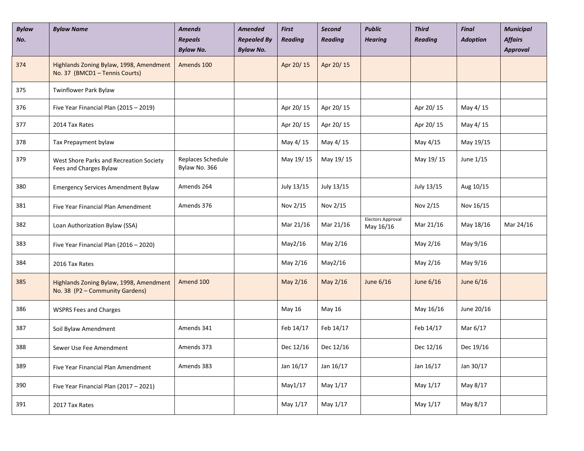| <b>Bylaw</b><br>No. | <b>Bylaw Name</b>                                                          | <b>Amends</b><br><b>Repeals</b><br><b>Bylaw No.</b> | <b>Amended</b><br><b>Repealed By</b><br><b>Bylaw No.</b> | <b>First</b><br><b>Reading</b> | Second<br><b>Reading</b> | <b>Public</b><br><b>Hearing</b>       | <b>Third</b><br><b>Reading</b> | <b>Final</b><br><b>Adoption</b> | <b>Municipal</b><br><b>Affairs</b><br><b>Approval</b> |
|---------------------|----------------------------------------------------------------------------|-----------------------------------------------------|----------------------------------------------------------|--------------------------------|--------------------------|---------------------------------------|--------------------------------|---------------------------------|-------------------------------------------------------|
| 374                 | Highlands Zoning Bylaw, 1998, Amendment<br>No. 37 (BMCD1 - Tennis Courts)  | Amends 100                                          |                                                          | Apr 20/15                      | Apr 20/15                |                                       |                                |                                 |                                                       |
| 375                 | Twinflower Park Bylaw                                                      |                                                     |                                                          |                                |                          |                                       |                                |                                 |                                                       |
| 376                 | Five Year Financial Plan (2015 - 2019)                                     |                                                     |                                                          | Apr 20/15                      | Apr 20/15                |                                       | Apr 20/15                      | May 4/15                        |                                                       |
| 377                 | 2014 Tax Rates                                                             |                                                     |                                                          | Apr 20/15                      | Apr 20/15                |                                       | Apr 20/15                      | May 4/15                        |                                                       |
| 378                 | Tax Prepayment bylaw                                                       |                                                     |                                                          | May 4/15                       | May 4/15                 |                                       | May 4/15                       | May 19/15                       |                                                       |
| 379                 | West Shore Parks and Recreation Society<br>Fees and Charges Bylaw          | Replaces Schedule<br>Bylaw No. 366                  |                                                          | May 19/15                      | May 19/15                |                                       | May 19/15                      | June 1/15                       |                                                       |
| 380                 | <b>Emergency Services Amendment Bylaw</b>                                  | Amends 264                                          |                                                          | July 13/15                     | July 13/15               |                                       | July 13/15                     | Aug 10/15                       |                                                       |
| 381                 | Five Year Financial Plan Amendment                                         | Amends 376                                          |                                                          | Nov 2/15                       | Nov 2/15                 |                                       | Nov 2/15                       | Nov 16/15                       |                                                       |
| 382                 | Loan Authorization Bylaw (SSA)                                             |                                                     |                                                          | Mar 21/16                      | Mar 21/16                | <b>Electors Approval</b><br>May 16/16 | Mar 21/16                      | May 18/16                       | Mar 24/16                                             |
| 383                 | Five Year Financial Plan (2016 - 2020)                                     |                                                     |                                                          | May2/16                        | May 2/16                 |                                       | May 2/16                       | May 9/16                        |                                                       |
| 384                 | 2016 Tax Rates                                                             |                                                     |                                                          | May 2/16                       | May2/16                  |                                       | May 2/16                       | May 9/16                        |                                                       |
| 385                 | Highlands Zoning Bylaw, 1998, Amendment<br>No. 38 (P2 - Community Gardens) | Amend 100                                           |                                                          | May 2/16                       | May 2/16                 | June 6/16                             | June 6/16                      | June 6/16                       |                                                       |
| 386                 | <b>WSPRS Fees and Charges</b>                                              |                                                     |                                                          | May 16                         | May 16                   |                                       | May 16/16                      | June 20/16                      |                                                       |
| 387                 | Soil Bylaw Amendment                                                       | Amends 341                                          |                                                          | Feb 14/17                      | Feb 14/17                |                                       | Feb 14/17                      | Mar 6/17                        |                                                       |
| 388                 | Sewer Use Fee Amendment                                                    | Amends 373                                          |                                                          | Dec 12/16                      | Dec 12/16                |                                       | Dec 12/16                      | Dec 19/16                       |                                                       |
| 389                 | Five Year Financial Plan Amendment                                         | Amends 383                                          |                                                          | Jan 16/17                      | Jan 16/17                |                                       | Jan 16/17                      | Jan 30/17                       |                                                       |
| 390                 | Five Year Financial Plan (2017 - 2021)                                     |                                                     |                                                          | May1/17                        | May 1/17                 |                                       | May 1/17                       | May 8/17                        |                                                       |
| 391                 | 2017 Tax Rates                                                             |                                                     |                                                          | May 1/17                       | May 1/17                 |                                       | May 1/17                       | May 8/17                        |                                                       |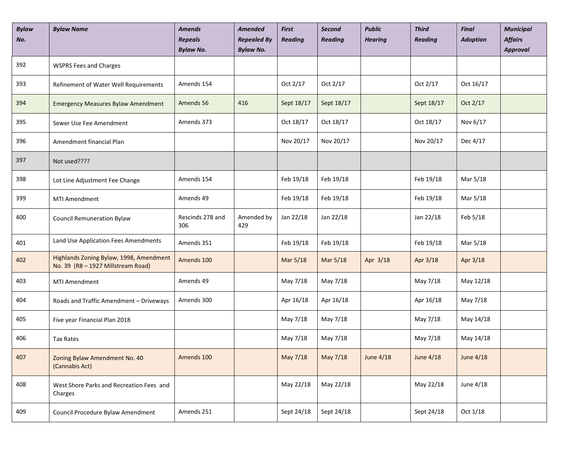| <b>Bylaw</b><br>No. | <b>Bylaw Name</b>                                                             | <b>Amends</b><br><b>Repeals</b><br><b>Bylaw No.</b> | <b>Amended</b><br><b>Repealed By</b><br><b>Bylaw No.</b> | First<br><b>Reading</b> | <b>Second</b><br><b>Reading</b> | <b>Public</b><br><b>Hearing</b> | <b>Third</b><br><b>Reading</b> | <b>Final</b><br><b>Adoption</b> | <b>Municipal</b><br><b>Affairs</b><br>Approval |
|---------------------|-------------------------------------------------------------------------------|-----------------------------------------------------|----------------------------------------------------------|-------------------------|---------------------------------|---------------------------------|--------------------------------|---------------------------------|------------------------------------------------|
| 392                 | <b>WSPRS Fees and Charges</b>                                                 |                                                     |                                                          |                         |                                 |                                 |                                |                                 |                                                |
| 393                 | Refinement of Water Well Requirements                                         | Amends 154                                          |                                                          | Oct 2/17                | Oct 2/17                        |                                 | Oct 2/17                       | Oct 16/17                       |                                                |
| 394                 | <b>Emergency Measures Bylaw Amendment</b>                                     | Amends 56                                           | 416                                                      | Sept 18/17              | Sept 18/17                      |                                 | Sept 18/17                     | Oct 2/17                        |                                                |
| 395                 | Sewer Use Fee Amendment                                                       | Amends 373                                          |                                                          | Oct 18/17               | Oct 18/17                       |                                 | Oct 18/17                      | Nov 6/17                        |                                                |
| 396                 | Amendment financial Plan                                                      |                                                     |                                                          | Nov 20/17               | Nov 20/17                       |                                 | Nov 20/17                      | Dec 4/17                        |                                                |
| 397                 | Not used????                                                                  |                                                     |                                                          |                         |                                 |                                 |                                |                                 |                                                |
| 398                 | Lot Line Adjustment Fee Change                                                | Amends 154                                          |                                                          | Feb 19/18               | Feb 19/18                       |                                 | Feb 19/18                      | Mar 5/18                        |                                                |
| 399                 | MTI Amendment                                                                 | Amends 49                                           |                                                          | Feb 19/18               | Feb 19/18                       |                                 | Feb 19/18                      | Mar 5/18                        |                                                |
| 400                 | <b>Council Remuneration Bylaw</b>                                             | Rescinds 278 and<br>306                             | Amended by<br>429                                        | Jan 22/18               | Jan 22/18                       |                                 | Jan 22/18                      | Feb 5/18                        |                                                |
| 401                 | Land Use Application Fees Amendments                                          | Amends 351                                          |                                                          | Feb 19/18               | Feb 19/18                       |                                 | Feb 19/18                      | Mar 5/18                        |                                                |
| 402                 | Highlands Zoning Bylaw, 1998, Amendment<br>No. 39 (R8 - 1927 Millstream Road) | Amends 100                                          |                                                          | Mar 5/18                | Mar 5/18                        | Apr 3/18                        | Apr 3/18                       | Apr 3/18                        |                                                |
| 403                 | MTI Amendment                                                                 | Amends 49                                           |                                                          | May 7/18                | May 7/18                        |                                 | May 7/18                       | May 12/18                       |                                                |
| 404                 | Roads and Traffic Amendment - Driveways                                       | Amends 300                                          |                                                          | Apr 16/18               | Apr 16/18                       |                                 | Apr 16/18                      | May 7/18                        |                                                |
| 405                 | Five year Financial Plan 2018                                                 |                                                     |                                                          | May 7/18                | May 7/18                        |                                 | May 7/18                       | May 14/18                       |                                                |
| 406                 | <b>Tax Rates</b>                                                              |                                                     |                                                          | May 7/18                | May 7/18                        |                                 | May 7/18                       | May 14/18                       |                                                |
| 407                 | Zoning Bylaw Amendment No. 40<br>(Cannabis Act)                               | Amends 100                                          |                                                          | May 7/18                | May 7/18                        | <b>June 4/18</b>                | <b>June 4/18</b>               | <b>June 4/18</b>                |                                                |
| 408                 | West Shore Parks and Recreation Fees and<br>Charges                           |                                                     |                                                          | May 22/18               | May 22/18                       |                                 | May 22/18                      | June 4/18                       |                                                |
| 409                 | Council Procedure Bylaw Amendment                                             | Amends 251                                          |                                                          | Sept 24/18              | Sept 24/18                      |                                 | Sept 24/18                     | Oct 1/18                        |                                                |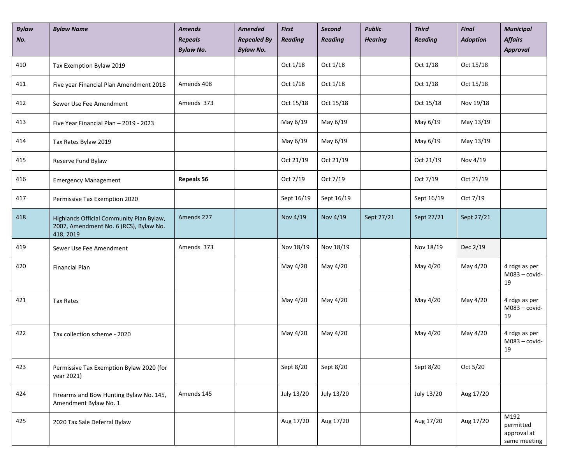| <b>Bylaw</b><br>No. | <b>Bylaw Name</b>                                                                               | <b>Amends</b><br><b>Repeals</b><br><b>Bylaw No.</b> | <b>Amended</b><br><b>Repealed By</b><br><b>Bylaw No.</b> | <b>First</b><br><b>Reading</b> | <b>Second</b><br><b>Reading</b> | <b>Public</b><br><b>Hearing</b> | <b>Third</b><br><b>Reading</b> | <b>Final</b><br><b>Adoption</b> | <b>Municipal</b><br><b>Affairs</b><br><b>Approval</b> |
|---------------------|-------------------------------------------------------------------------------------------------|-----------------------------------------------------|----------------------------------------------------------|--------------------------------|---------------------------------|---------------------------------|--------------------------------|---------------------------------|-------------------------------------------------------|
| 410                 | Tax Exemption Bylaw 2019                                                                        |                                                     |                                                          | Oct 1/18                       | Oct 1/18                        |                                 | Oct 1/18                       | Oct 15/18                       |                                                       |
| 411                 | Five year Financial Plan Amendment 2018                                                         | Amends 408                                          |                                                          | Oct 1/18                       | Oct 1/18                        |                                 | Oct 1/18                       | Oct 15/18                       |                                                       |
| 412                 | Sewer Use Fee Amendment                                                                         | Amends 373                                          |                                                          | Oct 15/18                      | Oct 15/18                       |                                 | Oct 15/18                      | Nov 19/18                       |                                                       |
| 413                 | Five Year Financial Plan - 2019 - 2023                                                          |                                                     |                                                          | May 6/19                       | May 6/19                        |                                 | May 6/19                       | May 13/19                       |                                                       |
| 414                 | Tax Rates Bylaw 2019                                                                            |                                                     |                                                          | May 6/19                       | May 6/19                        |                                 | May 6/19                       | May 13/19                       |                                                       |
| 415                 | Reserve Fund Bylaw                                                                              |                                                     |                                                          | Oct 21/19                      | Oct 21/19                       |                                 | Oct 21/19                      | Nov 4/19                        |                                                       |
| 416                 | <b>Emergency Management</b>                                                                     | <b>Repeals 56</b>                                   |                                                          | Oct 7/19                       | Oct 7/19                        |                                 | Oct 7/19                       | Oct 21/19                       |                                                       |
| 417                 | Permissive Tax Exemption 2020                                                                   |                                                     |                                                          | Sept 16/19                     | Sept 16/19                      |                                 | Sept 16/19                     | Oct 7/19                        |                                                       |
| 418                 | Highlands Official Community Plan Bylaw,<br>2007, Amendment No. 6 (RCS), Bylaw No.<br>418, 2019 | Amends 277                                          |                                                          | Nov 4/19                       | Nov 4/19                        | Sept 27/21                      | Sept 27/21                     | Sept 27/21                      |                                                       |
| 419                 | Sewer Use Fee Amendment                                                                         | Amends 373                                          |                                                          | Nov 18/19                      | Nov 18/19                       |                                 | Nov 18/19                      | Dec 2/19                        |                                                       |
| 420                 | <b>Financial Plan</b>                                                                           |                                                     |                                                          | May 4/20                       | May 4/20                        |                                 | May 4/20                       | May 4/20                        | 4 rdgs as per<br>$M083 - covid-$<br>19                |
| 421                 | Tax Rates                                                                                       |                                                     |                                                          | May 4/20                       | May 4/20                        |                                 | May 4/20                       | May 4/20                        | 4 rdgs as per<br>$M083 - covid-$<br>19                |
| 422                 | Tax collection scheme - 2020                                                                    |                                                     |                                                          | May 4/20                       | May 4/20                        |                                 | May 4/20                       | May 4/20                        | 4 rdgs as per<br>$M083 - covid-$<br>19                |
| 423                 | Permissive Tax Exemption Bylaw 2020 (for<br>year 2021)                                          |                                                     |                                                          | Sept 8/20                      | Sept 8/20                       |                                 | Sept 8/20                      | Oct 5/20                        |                                                       |
| 424                 | Firearms and Bow Hunting Bylaw No. 145,<br>Amendment Bylaw No. 1                                | Amends 145                                          |                                                          | July 13/20                     | July 13/20                      |                                 | July 13/20                     | Aug 17/20                       |                                                       |
| 425                 | 2020 Tax Sale Deferral Bylaw                                                                    |                                                     |                                                          | Aug 17/20                      | Aug 17/20                       |                                 | Aug 17/20                      | Aug 17/20                       | M192<br>permitted<br>approval at<br>same meeting      |